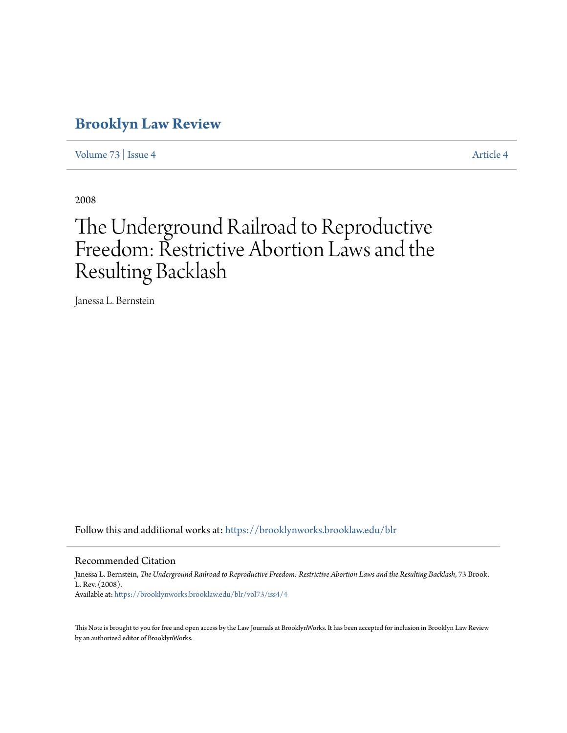## **[Brooklyn Law Review](https://brooklynworks.brooklaw.edu/blr?utm_source=brooklynworks.brooklaw.edu%2Fblr%2Fvol73%2Fiss4%2F4&utm_medium=PDF&utm_campaign=PDFCoverPages)**

[Volume 73](https://brooklynworks.brooklaw.edu/blr/vol73?utm_source=brooklynworks.brooklaw.edu%2Fblr%2Fvol73%2Fiss4%2F4&utm_medium=PDF&utm_campaign=PDFCoverPages) | [Issue 4](https://brooklynworks.brooklaw.edu/blr/vol73/iss4?utm_source=brooklynworks.brooklaw.edu%2Fblr%2Fvol73%2Fiss4%2F4&utm_medium=PDF&utm_campaign=PDFCoverPages) [Article 4](https://brooklynworks.brooklaw.edu/blr/vol73/iss4/4?utm_source=brooklynworks.brooklaw.edu%2Fblr%2Fvol73%2Fiss4%2F4&utm_medium=PDF&utm_campaign=PDFCoverPages)

2008

# The Underground Railroad to Reproductive Freedom: Restrictive Abortion Laws and the Resulting Backlash

Janessa L. Bernstein

Follow this and additional works at: [https://brooklynworks.brooklaw.edu/blr](https://brooklynworks.brooklaw.edu/blr?utm_source=brooklynworks.brooklaw.edu%2Fblr%2Fvol73%2Fiss4%2F4&utm_medium=PDF&utm_campaign=PDFCoverPages)

#### Recommended Citation

Janessa L. Bernstein, *The Underground Railroad to Reproductive Freedom: Restrictive Abortion Laws and the Resulting Backlash*, 73 Brook. L. Rev. (2008). Available at: [https://brooklynworks.brooklaw.edu/blr/vol73/iss4/4](https://brooklynworks.brooklaw.edu/blr/vol73/iss4/4?utm_source=brooklynworks.brooklaw.edu%2Fblr%2Fvol73%2Fiss4%2F4&utm_medium=PDF&utm_campaign=PDFCoverPages)

This Note is brought to you for free and open access by the Law Journals at BrooklynWorks. It has been accepted for inclusion in Brooklyn Law Review by an authorized editor of BrooklynWorks.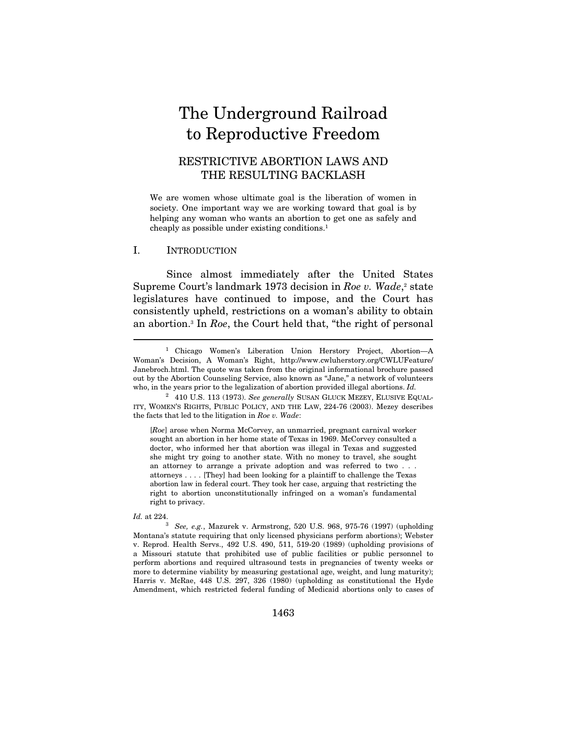# The Underground Railroad to Reproductive Freedom

### RESTRICTIVE ABORTION LAWS AND THE RESULTING BACKLASH

We are women whose ultimate goal is the liberation of women in society. One important way we are working toward that goal is by helping any woman who wants an abortion to get one as safely and cheaply as possible under existing conditions.1

#### I. INTRODUCTION

Since almost immediately after the United States Supreme Court's landmark 1973 decision in Roe v. Wade, $\alpha$  state legislatures have continued to impose, and the Court has consistently upheld, restrictions on a woman's ability to obtain an abortion.3 In Roe, the Court held that, "the right of personal

[Roe] arose when Norma McCorvey, an unmarried, pregnant carnival worker sought an abortion in her home state of Texas in 1969. McCorvey consulted a doctor, who informed her that abortion was illegal in Texas and suggested she might try going to another state. With no money to travel, she sought an attorney to arrange a private adoption and was referred to two . . . attorneys . . . . [They] had been looking for a plaintiff to challenge the Texas abortion law in federal court. They took her case, arguing that restricting the right to abortion unconstitutionally infringed on a woman's fundamental right to privacy.

 $\overline{a}$ 

Id. at 224. 3 See, e.g., Mazurek v. Armstrong, 520 U.S. 968, 975-76 (1997) (upholding Montana's statute requiring that only licensed physicians perform abortions); Webster v. Reprod. Health Servs., 492 U.S. 490, 511, 519-20 (1989) (upholding provisions of a Missouri statute that prohibited use of public facilities or public personnel to perform abortions and required ultrasound tests in pregnancies of twenty weeks or more to determine viability by measuring gestational age, weight, and lung maturity); Harris v. McRae, 448 U.S. 297, 326 (1980) (upholding as constitutional the Hyde Amendment, which restricted federal funding of Medicaid abortions only to cases of

<sup>1</sup> Chicago Women's Liberation Union Herstory Project, Abortion—A Woman's Decision, A Woman's Right, http://www.cwluherstory.org/CWLUFeature/ Janebroch.html. The quote was taken from the original informational brochure passed out by the Abortion Counseling Service, also known as "Jane," a network of volunteers who, in the years prior to the legalization of abortion provided illegal abortions. Id.

<sup>&</sup>lt;sup>2</sup> 410 U.S. 113 (1973). See generally SUSAN GLUCK MEZEY, ELUSIVE EQUAL-ITY, WOMEN'S RIGHTS, PUBLIC POLICY, AND THE LAW, 224-76 (2003). Mezey describes the facts that led to the litigation in Roe v. Wade: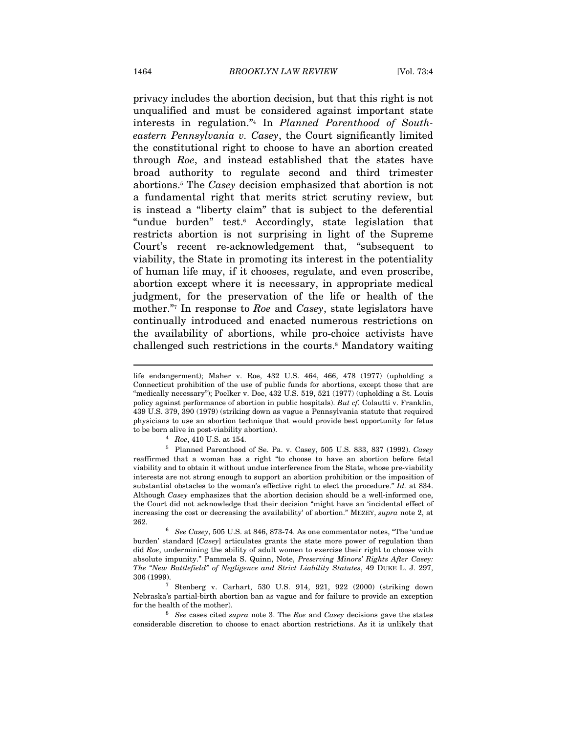privacy includes the abortion decision, but that this right is not unqualified and must be considered against important state interests in regulation."4 In Planned Parenthood of Southeastern Pennsylvania v. Casey, the Court significantly limited the constitutional right to choose to have an abortion created through Roe, and instead established that the states have broad authority to regulate second and third trimester abortions.5 The Casey decision emphasized that abortion is not a fundamental right that merits strict scrutiny review, but is instead a "liberty claim" that is subject to the deferential "undue burden" test.6 Accordingly, state legislation that restricts abortion is not surprising in light of the Supreme Court's recent re-acknowledgement that, "subsequent to viability, the State in promoting its interest in the potentiality of human life may, if it chooses, regulate, and even proscribe, abortion except where it is necessary, in appropriate medical judgment, for the preservation of the life or health of the mother."<sup>7</sup> In response to *Roe* and *Casey*, state legislators have continually introduced and enacted numerous restrictions on the availability of abortions, while pro-choice activists have challenged such restrictions in the courts.8 Mandatory waiting

life endangerment); Maher v. Roe, 432 U.S. 464, 466, 478 (1977) (upholding a Connecticut prohibition of the use of public funds for abortions, except those that are "medically necessary"); Poelker v. Doe, 432 U.S. 519, 521 (1977) (upholding a St. Louis policy against performance of abortion in public hospitals). But cf. Colautti v. Franklin, 439 U.S. 379, 390 (1979) (striking down as vague a Pennsylvania statute that required physicians to use an abortion technique that would provide best opportunity for fetus to be born alive in post-viability abortion).<br>  $4 \quad Roe, 410 \text{ U.S. at } 154.$ <br>  $5 \quad \text{Planned Parenthood of Se. Pa. v. Casey, 505 \text{ U.S. } 833, 837 \text{ (1992).} \text{} Casey$ 

reaffirmed that a woman has a right "to choose to have an abortion before fetal viability and to obtain it without undue interference from the State, whose pre-viability interests are not strong enough to support an abortion prohibition or the imposition of substantial obstacles to the woman's effective right to elect the procedure." Id. at 834. Although Casey emphasizes that the abortion decision should be a well-informed one, the Court did not acknowledge that their decision "might have an 'incidental effect of increasing the cost or decreasing the availability' of abortion." MEZEY, supra note 2, at 262.

 $6$  See Casey, 505 U.S. at 846, 873-74. As one commentator notes, "The 'undue burden' standard [Casey] articulates grants the state more power of regulation than did Roe, undermining the ability of adult women to exercise their right to choose with absolute impunity." Pammela S. Quinn, Note, Preserving Minors' Rights After Casey: The "New Battlefield" of Negligence and Strict Liability Statutes, 49 DUKE L. J. 297, 306 (1999). 7 Stenberg v. Carhart, 530 U.S. 914, 921, 922 (2000) (striking down

Nebraska's partial-birth abortion ban as vague and for failure to provide an exception for the health of the mother).<br><sup>8</sup> See cases cited supra note 3. The Roe and Casey decisions gave the states

considerable discretion to choose to enact abortion restrictions. As it is unlikely that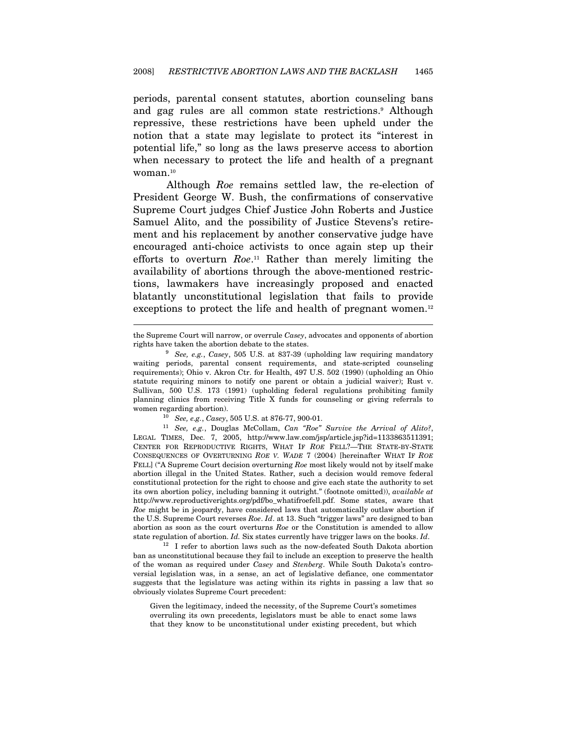periods, parental consent statutes, abortion counseling bans and gag rules are all common state restrictions.9 Although repressive, these restrictions have been upheld under the notion that a state may legislate to protect its "interest in potential life," so long as the laws preserve access to abortion when necessary to protect the life and health of a pregnant woman.10

Although Roe remains settled law, the re-election of President George W. Bush, the confirmations of conservative Supreme Court judges Chief Justice John Roberts and Justice Samuel Alito, and the possibility of Justice Stevens's retirement and his replacement by another conservative judge have encouraged anti-choice activists to once again step up their efforts to overturn  $Roe.$ <sup>11</sup> Rather than merely limiting the availability of abortions through the above-mentioned restrictions, lawmakers have increasingly proposed and enacted blatantly unconstitutional legislation that fails to provide exceptions to protect the life and health of pregnant women.<sup>12</sup>

 $\overline{a}$ 

ban as unconstitutional because they fail to include an exception to preserve the health of the woman as required under Casey and Stenberg. While South Dakota's controversial legislation was, in a sense, an act of legislative defiance, one commentator suggests that the legislature was acting within its rights in passing a law that so obviously violates Supreme Court precedent:

Given the legitimacy, indeed the necessity, of the Supreme Court's sometimes overruling its own precedents, legislators must be able to enact some laws that they know to be unconstitutional under existing precedent, but which

the Supreme Court will narrow, or overrule Casey, advocates and opponents of abortion rights have taken the abortion debate to the states.<br><sup>9</sup> See, e.g., Casey, 505 U.S. at 837-39 (upholding law requiring mandatory

waiting periods, parental consent requirements, and state-scripted counseling requirements); Ohio v. Akron Ctr. for Health, 497 U.S. 502 (1990) (upholding an Ohio statute requiring minors to notify one parent or obtain a judicial waiver); Rust v. Sullivan, 500 U.S. 173 (1991) (upholding federal regulations prohibiting family planning clinics from receiving Title X funds for counseling or giving referrals to

women regarding abortion).<br><sup>10</sup> See, e.g., Casey, 505 U.S. at 876-77, 900-01.<br><sup>11</sup> See, e.g., Douglas McCollam, Can "Roe" Survive the Arrival of Alito?, LEGAL TIMES, Dec. 7, 2005, http://www.law.com/jsp/article.jsp?id=1133863511391; CENTER FOR REPRODUCTIVE RIGHTS, WHAT IF ROE FELL?—THE STATE-BY-STATE CONSEQUENCES OF OVERTURNING ROE V. WADE 7 (2004) [hereinafter WHAT IF ROE FELL] ("A Supreme Court decision overturning Roe most likely would not by itself make abortion illegal in the United States. Rather, such a decision would remove federal constitutional protection for the right to choose and give each state the authority to set its own abortion policy, including banning it outright." (footnote omitted)), available at http://www.reproductiverights.org/pdf/bo\_whatifroefell.pdf. Some states, aware that Roe might be in jeopardy, have considered laws that automatically outlaw abortion if the U.S. Supreme Court reverses Roe. Id. at 13. Such "trigger laws" are designed to ban abortion as soon as the court overturns Roe or the Constitution is amended to allow state regulation of abortion. Id. Six states currently have trigger laws on the books. Id.  $^{12}$  I refer to abortion laws such as the now-defeated South Dakota abortion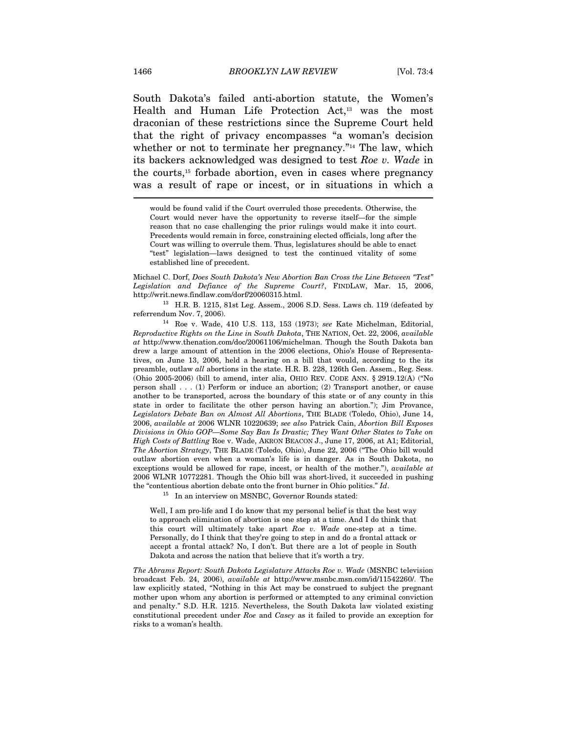South Dakota's failed anti-abortion statute, the Women's Health and Human Life Protection Act,<sup>13</sup> was the most draconian of these restrictions since the Supreme Court held that the right of privacy encompasses "a woman's decision whether or not to terminate her pregnancy."<sup>14</sup> The law, which its backers acknowledged was designed to test Roe v. Wade in the courts,15 forbade abortion, even in cases where pregnancy was a result of rape or incest, or in situations in which a  $\overline{\phantom{a}}$ 

would be found valid if the Court overruled those precedents. Otherwise, the Court would never have the opportunity to reverse itself—for the simple reason that no case challenging the prior rulings would make it into court. Precedents would remain in force, constraining elected officials, long after the Court was willing to overrule them. Thus, legislatures should be able to enact "test" legislation—laws designed to test the continued vitality of some established line of precedent.

Michael C. Dorf, Does South Dakota's New Abortion Ban Cross the Line Between "Test" Legislation and Defiance of the Supreme Court?, FINDLAW, Mar. 15, 2006, http://writ.news.findlaw.com/dorf/20060315.html. 13 H.R. B. 1215, 81st Leg. Assem., 2006 S.D. Sess. Laws ch. 119 (defeated by

referrendum Nov. 7, 2006). 14 Roe v. Wade, 410 U.S. 113, 153 (1973); see Kate Michelman, Editorial,

Reproductive Rights on the Line in South Dakota, THE NATION, Oct. 22, 2006, available at http://www.thenation.com/doc/20061106/michelman. Though the South Dakota ban drew a large amount of attention in the 2006 elections, Ohio's House of Representatives, on June 13, 2006, held a hearing on a bill that would, according to the its preamble, outlaw all abortions in the state. H.R. B. 228, 126th Gen. Assem., Reg. Sess. (Ohio 2005-2006) (bill to amend, inter alia, OHIO REV. CODE ANN. § 2919.12(A) ("No person shall . . . (1) Perform or induce an abortion; (2) Transport another, or cause another to be transported, across the boundary of this state or of any county in this state in order to facilitate the other person having an abortion."); Jim Provance, Legislators Debate Ban on Almost All Abortions, THE BLADE (Toledo, Ohio), June 14, 2006, available at 2006 WLNR 10220639; see also Patrick Cain, Abortion Bill Exposes Divisions in Ohio GOP—Some Say Ban Is Drastic; They Want Other States to Take on High Costs of Battling Roe v. Wade, AKRON BEACON J., June 17, 2006, at A1; Editorial, The Abortion Strategy, THE BLADE (Toledo, Ohio), June 22, 2006 ("The Ohio bill would outlaw abortion even when a woman's life is in danger. As in South Dakota, no exceptions would be allowed for rape, incest, or health of the mother."), available at 2006 WLNR 10772281. Though the Ohio bill was short-lived, it succeeded in pushing the "contentious abortion debate onto the front burner in Ohio politics."  $Id$ .<br><sup>15</sup> In an interview on MSNBC, Governor Rounds stated:

Well, I am pro-life and I do know that my personal belief is that the best way to approach elimination of abortion is one step at a time. And I do think that this court will ultimately take apart  $Roe$  v. Wade one-step at a time. Personally, do I think that they're going to step in and do a frontal attack or accept a frontal attack? No, I don't. But there are a lot of people in South Dakota and across the nation that believe that it's worth a try.

The Abrams Report: South Dakota Legislature Attacks Roe v. Wade (MSNBC television broadcast Feb. 24, 2006), available at http://www.msnbc.msn.com/id/11542260/. The law explicitly stated, "Nothing in this Act may be construed to subject the pregnant mother upon whom any abortion is performed or attempted to any criminal conviction and penalty." S.D. H.R. 1215. Nevertheless, the South Dakota law violated existing constitutional precedent under Roe and Casey as it failed to provide an exception for risks to a woman's health.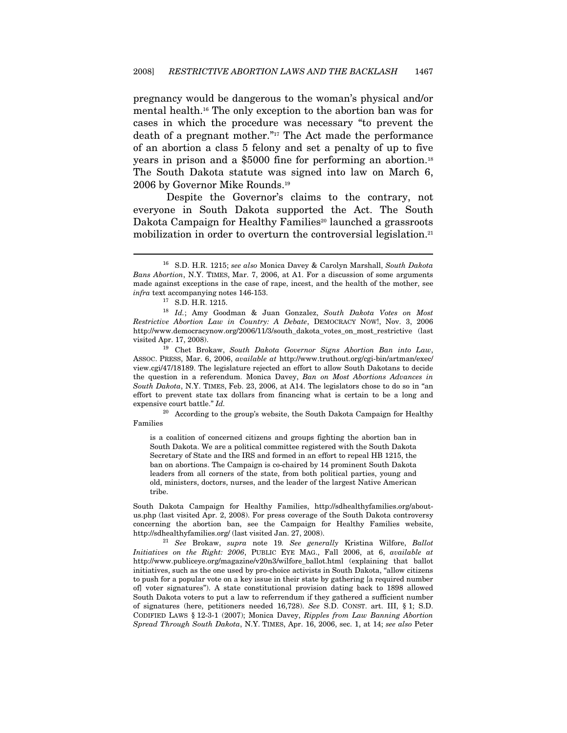pregnancy would be dangerous to the woman's physical and/or mental health.16 The only exception to the abortion ban was for cases in which the procedure was necessary "to prevent the death of a pregnant mother."17 The Act made the performance of an abortion a class 5 felony and set a penalty of up to five years in prison and a \$5000 fine for performing an abortion.18 The South Dakota statute was signed into law on March 6, 2006 by Governor Mike Rounds.19

Despite the Governor's claims to the contrary, not everyone in South Dakota supported the Act. The South Dakota Campaign for Healthy Families<sup>20</sup> launched a grassroots mobilization in order to overturn the controversial legislation.<sup>21</sup>

 $\overline{a}$ 

is a coalition of concerned citizens and groups fighting the abortion ban in South Dakota. We are a political committee registered with the South Dakota Secretary of State and the IRS and formed in an effort to repeal HB 1215, the ban on abortions. The Campaign is co-chaired by 14 prominent South Dakota leaders from all corners of the state, from both political parties, young and old, ministers, doctors, nurses, and the leader of the largest Native American tribe.

South Dakota Campaign for Healthy Families, http://sdhealthyfamilies.org/aboutus.php (last visited Apr. 2, 2008). For press coverage of the South Dakota controversy concerning the abortion ban, see the Campaign for Healthy Families website, http://sdhealthyfamilies.org/ (last visited Jan. 27, 2008).

 $12$  See Brokaw, supra note 19. See generally Kristina Wilfore, Ballot Initiatives on the Right: 2006, PUBLIC EYE MAG., Fall 2006, at 6, available at http://www.publiceye.org/magazine/v20n3/wilfore\_ballot.html (explaining that ballot initiatives, such as the one used by pro-choice activists in South Dakota, "allow citizens to push for a popular vote on a key issue in their state by gathering [a required number of] voter signatures"). A state constitutional provision dating back to 1898 allowed South Dakota voters to put a law to referrendum if they gathered a sufficient number of signatures (here, petitioners needed 16,728). See S.D. CONST. art. III, § 1; S.D. CODIFIED LAWS § 12-3-1 (2007); Monica Davey, Ripples from Law Banning Abortion Spread Through South Dakota, N.Y. TIMES, Apr. 16, 2006, sec. 1, at 14; see also Peter

<sup>&</sup>lt;sup>16</sup> S.D. H.R. 1215; see also Monica Davey & Carolyn Marshall, South Dakota Bans Abortion, N.Y. TIMES, Mar. 7, 2006, at A1. For a discussion of some arguments made against exceptions in the case of rape, incest, and the health of the mother, see  $infra$ text accompanying notes 146-153.<br><br/>  $^{17}$  S.D. H.R. 1215.

<sup>18</sup> Id.; Amy Goodman & Juan Gonzalez, South Dakota Votes on Most Restrictive Abortion Law in Country: A Debate, DEMOCRACY NOW!, Nov. 3, 2006 http://www.democracynow.org/2006/11/3/south\_dakota\_votes\_on\_most\_restrictive (last visited Apr. 17, 2008). 19 Chet Brokaw, South Dakota Governor Signs Abortion Ban into Law,

ASSOC. PRESS, Mar. 6, 2006, available at http://www.truthout.org/cgi-bin/artman/exec/ view.cgi/47/18189. The legislature rejected an effort to allow South Dakotans to decide the question in a referendum. Monica Davey, Ban on Most Abortions Advances in South Dakota, N.Y. TIMES, Feb. 23, 2006, at A14. The legislators chose to do so in "an effort to prevent state tax dollars from financing what is certain to be a long and expensive court battle." Id.

<sup>&</sup>lt;sup>20</sup> According to the group's website, the South Dakota Campaign for Healthy Families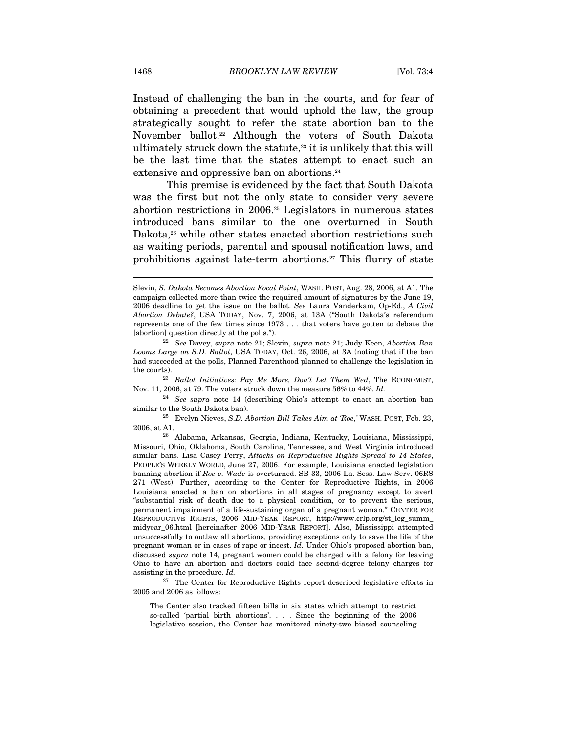Instead of challenging the ban in the courts, and for fear of obtaining a precedent that would uphold the law, the group strategically sought to refer the state abortion ban to the November ballot.22 Although the voters of South Dakota ultimately struck down the statute, $23$  it is unlikely that this will be the last time that the states attempt to enact such an extensive and oppressive ban on abortions.<sup>24</sup>

This premise is evidenced by the fact that South Dakota was the first but not the only state to consider very severe abortion restrictions in 2006.25 Legislators in numerous states introduced bans similar to the one overturned in South Dakota,<sup>26</sup> while other states enacted abortion restrictions such as waiting periods, parental and spousal notification laws, and prohibitions against late-term abortions.27 This flurry of state

the courts).<br><sup>23</sup> Ballot Initiatives: Pay Me More, Don't Let Them Wed, The ECONOMIST,

Nov. 11, 2006, at 79. The voters struck down the measure 56% to 44%. Id. <sup>24</sup> See supra note 14 (describing Ohio's attempt to enact an abortion ban similar to the South Dakota ban).

 $125$  Evelyn Nieves, S.D. Abortion Bill Takes Aim at 'Roe,' WASH. POST, Feb. 23, 2006, at A1. 26 Alabama, Arkansas, Georgia, Indiana, Kentucky, Louisiana, Mississippi,

assisting in the procedure. Id.  $^{27}$  The Center for Reproductive Rights report described legislative efforts in 2005 and 2006 as follows:

The Center also tracked fifteen bills in six states which attempt to restrict so-called 'partial birth abortions'. . . . Since the beginning of the 2006 legislative session, the Center has monitored ninety-two biased counseling

Slevin, S. Dakota Becomes Abortion Focal Point, WASH. POST, Aug. 28, 2006, at A1. The campaign collected more than twice the required amount of signatures by the June 19, 2006 deadline to get the issue on the ballot. See Laura Vanderkam, Op-Ed., A Civil Abortion Debate?, USA TODAY, Nov. 7, 2006, at 13A ("South Dakota's referendum represents one of the few times since 1973 . . . that voters have gotten to debate the [abortion] question directly at the polls.").<br><sup>22</sup> See Davey, supra note 21; Slevin, supra note 21; Judy Keen, Abortion Ban

Looms Large on S.D. Ballot, USA TODAY, Oct. 26, 2006, at 3A (noting that if the ban had succeeded at the polls, Planned Parenthood planned to challenge the legislation in

Missouri, Ohio, Oklahoma, South Carolina, Tennessee, and West Virginia introduced similar bans. Lisa Casey Perry, Attacks on Reproductive Rights Spread to 14 States, PEOPLE'S WEEKLY WORLD, June 27, 2006. For example, Louisiana enacted legislation banning abortion if Roe v. Wade is overturned. SB 33, 2006 La. Sess. Law Serv. 06RS 271 (West). Further, according to the Center for Reproductive Rights, in 2006 Louisiana enacted a ban on abortions in all stages of pregnancy except to avert "substantial risk of death due to a physical condition, or to prevent the serious, permanent impairment of a life-sustaining organ of a pregnant woman." CENTER FOR REPRODUCTIVE RIGHTS, 2006 MID-YEAR REPORT, http://www.crlp.org/st\_leg\_summ\_ midyear\_06.html [hereinafter 2006 MID-YEAR REPORT]. Also, Mississippi attempted unsuccessfully to outlaw all abortions, providing exceptions only to save the life of the pregnant woman or in cases of rape or incest. Id. Under Ohio's proposed abortion ban, discussed supra note 14, pregnant women could be charged with a felony for leaving Ohio to have an abortion and doctors could face second-degree felony charges for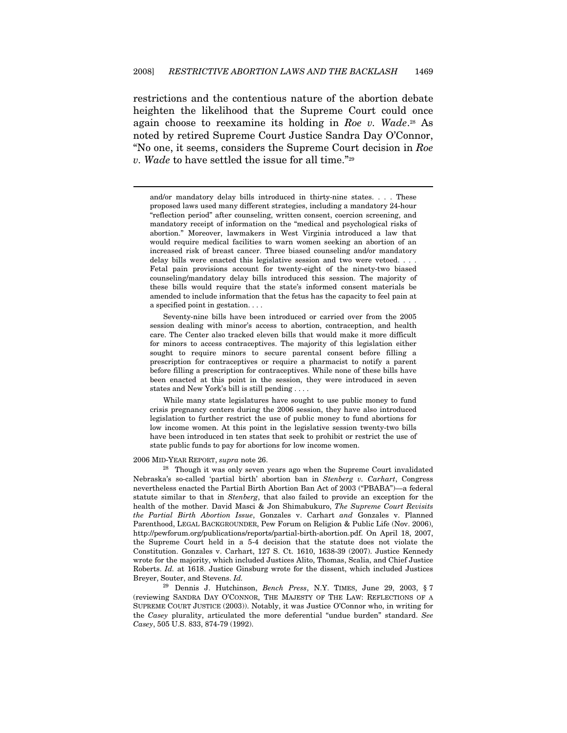restrictions and the contentious nature of the abortion debate heighten the likelihood that the Supreme Court could once again choose to reexamine its holding in Roe v. Wade.<sup>28</sup> As noted by retired Supreme Court Justice Sandra Day O'Connor, "No one, it seems, considers the Supreme Court decision in Roe v. Wade to have settled the issue for all time."29

and/or mandatory delay bills introduced in thirty-nine states. . . . These proposed laws used many different strategies, including a mandatory 24-hour "reflection period" after counseling, written consent, coercion screening, and mandatory receipt of information on the "medical and psychological risks of abortion." Moreover, lawmakers in West Virginia introduced a law that would require medical facilities to warn women seeking an abortion of an increased risk of breast cancer. Three biased counseling and/or mandatory delay bills were enacted this legislative session and two were vetoed. . . . Fetal pain provisions account for twenty-eight of the ninety-two biased counseling/mandatory delay bills introduced this session. The majority of these bills would require that the state's informed consent materials be amended to include information that the fetus has the capacity to feel pain at a specified point in gestation. . . .

 Seventy-nine bills have been introduced or carried over from the 2005 session dealing with minor's access to abortion, contraception, and health care. The Center also tracked eleven bills that would make it more difficult for minors to access contraceptives. The majority of this legislation either sought to require minors to secure parental consent before filling a prescription for contraceptives or require a pharmacist to notify a parent before filling a prescription for contraceptives. While none of these bills have been enacted at this point in the session, they were introduced in seven states and New York's bill is still pending . . . .

 While many state legislatures have sought to use public money to fund crisis pregnancy centers during the 2006 session, they have also introduced legislation to further restrict the use of public money to fund abortions for low income women. At this point in the legislative session twenty-two bills have been introduced in ten states that seek to prohibit or restrict the use of state public funds to pay for abortions for low income women.

#### 2006 MID-YEAR REPORT, supra note 26.

 $\overline{a}$ 

<sup>28</sup> Though it was only seven years ago when the Supreme Court invalidated Nebraska's so-called 'partial birth' abortion ban in Stenberg v. Carhart, Congress nevertheless enacted the Partial Birth Abortion Ban Act of 2003 ("PBABA")—a federal statute similar to that in Stenberg, that also failed to provide an exception for the health of the mother. David Masci & Jon Shimabukuro, The Supreme Court Revisits the Partial Birth Abortion Issue, Gonzales v. Carhart and Gonzales v. Planned Parenthood, LEGAL BACKGROUNDER, Pew Forum on Religion & Public Life (Nov. 2006), http://pewforum.org/publications/reports/partial-birth-abortion.pdf. On April 18, 2007, the Supreme Court held in a 5-4 decision that the statute does not violate the Constitution. Gonzales v. Carhart, 127 S. Ct. 1610, 1638-39 (2007). Justice Kennedy wrote for the majority, which included Justices Alito, Thomas, Scalia, and Chief Justice Roberts. Id. at 1618. Justice Ginsburg wrote for the dissent, which included Justices Breyer, Souter, and Stevens. Id.

<sup>29</sup> Dennis J. Hutchinson, Bench Press, N.Y. TIMES, June 29, 2003, § 7 (reviewing SANDRA DAY O'CONNOR, THE MAJESTY OF THE LAW: REFLECTIONS OF A SUPREME COURT JUSTICE (2003)). Notably, it was Justice O'Connor who, in writing for the Casey plurality, articulated the more deferential "undue burden" standard. See Casey, 505 U.S. 833, 874-79 (1992).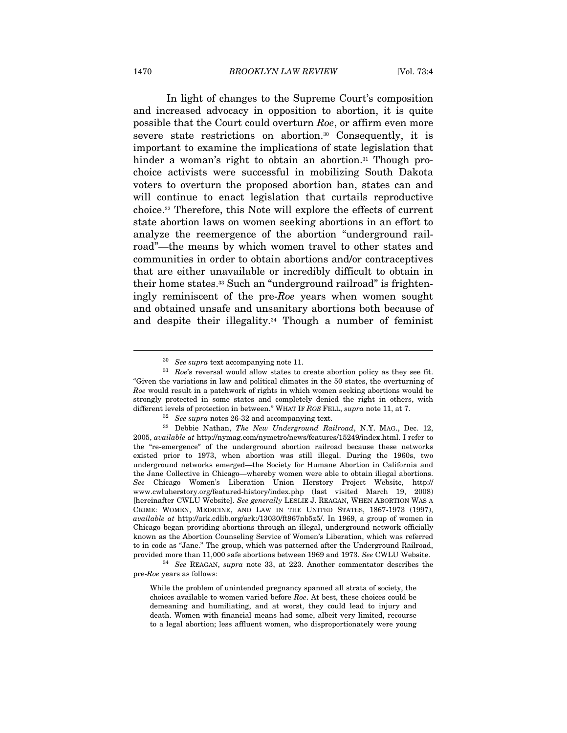In light of changes to the Supreme Court's composition and increased advocacy in opposition to abortion, it is quite possible that the Court could overturn Roe, or affirm even more severe state restrictions on abortion.30 Consequently, it is important to examine the implications of state legislation that hinder a woman's right to obtain an abortion.<sup>31</sup> Though prochoice activists were successful in mobilizing South Dakota voters to overturn the proposed abortion ban, states can and will continue to enact legislation that curtails reproductive choice.32 Therefore, this Note will explore the effects of current state abortion laws on women seeking abortions in an effort to analyze the reemergence of the abortion "underground railroad"—the means by which women travel to other states and communities in order to obtain abortions and/or contraceptives that are either unavailable or incredibly difficult to obtain in their home states.33 Such an "underground railroad" is frighteningly reminiscent of the pre-Roe years when women sought and obtained unsafe and unsanitary abortions both because of and despite their illegality.<sup>34</sup> Though a number of feminist

<sup>&</sup>lt;sup>30</sup> See supra text accompanying note 11.<br><sup>31</sup> Roe's reversal would allow states to create abortion policy as they see fit. "Given the variations in law and political climates in the 50 states, the overturning of Roe would result in a patchwork of rights in which women seeking abortions would be strongly protected in some states and completely denied the right in others, with different levels of protection in between." WHAT IF ROE FELL, supra note 11, at 7.

 $\frac{32}{32}$  See supra notes 26-32 and accompanying text.<br> $\frac{33}{32}$  Debbie Nathan, *The New Underground Railroad*, N.Y. MAG., Dec. 12, 2005, available at http://nymag.com/nymetro/news/features/15249/index.html. I refer to the "re-emergence" of the underground abortion railroad because these networks existed prior to 1973, when abortion was still illegal. During the 1960s, two underground networks emerged—the Society for Humane Abortion in California and the Jane Collective in Chicago—whereby women were able to obtain illegal abortions. See Chicago Women's Liberation Union Herstory Project Website, http:// www.cwluherstory.org/featured-history/index.php (last visited March 19, 2008) [hereinafter CWLU Website]. See generally LESLIE J. REAGAN, WHEN ABORTION WAS A CRIME: WOMEN, MEDICINE, AND LAW IN THE UNITED STATES, 1867-1973 (1997), available at http://ark.cdlib.org/ark:/13030/ft967nb5z5/. In 1969, a group of women in Chicago began providing abortions through an illegal, underground network officially known as the Abortion Counseling Service of Women's Liberation, which was referred to in code as "Jane." The group, which was patterned after the Underground Railroad, provided more than 11,000 safe abortions between 1969 and 1973. See CWLU Website.<br><sup>34</sup> See REAGAN, supra note 33, at 223. Another commentator describes the

pre-Roe years as follows:

While the problem of unintended pregnancy spanned all strata of society, the choices available to women varied before Roe. At best, these choices could be demeaning and humiliating, and at worst, they could lead to injury and death. Women with financial means had some, albeit very limited, recourse to a legal abortion; less affluent women, who disproportionately were young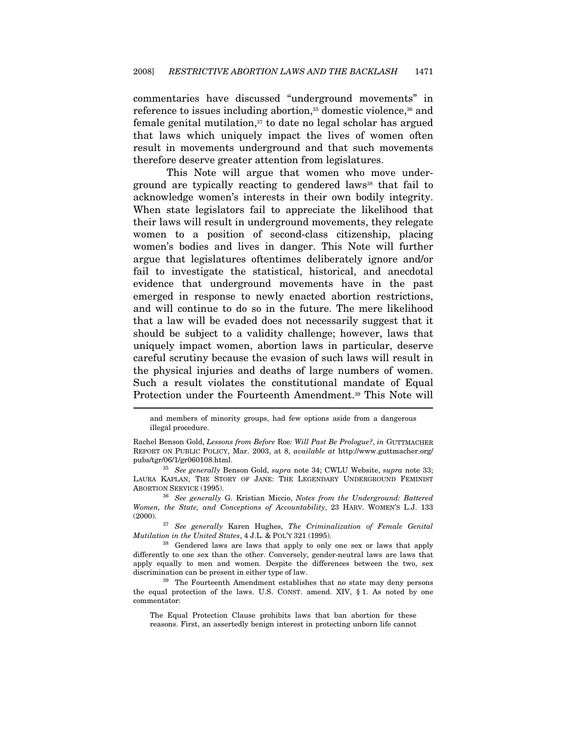commentaries have discussed "underground movements" in reference to issues including abortion,<sup>35</sup> domestic violence,<sup>36</sup> and female genital mutilation, $37$  to date no legal scholar has argued that laws which uniquely impact the lives of women often result in movements underground and that such movements therefore deserve greater attention from legislatures.

This Note will argue that women who move underground are typically reacting to gendered laws<sup>38</sup> that fail to acknowledge women's interests in their own bodily integrity. When state legislators fail to appreciate the likelihood that their laws will result in underground movements, they relegate women to a position of second-class citizenship, placing women's bodies and lives in danger. This Note will further argue that legislatures oftentimes deliberately ignore and/or fail to investigate the statistical, historical, and anecdotal evidence that underground movements have in the past emerged in response to newly enacted abortion restrictions, and will continue to do so in the future. The mere likelihood that a law will be evaded does not necessarily suggest that it should be subject to a validity challenge; however, laws that uniquely impact women, abortion laws in particular, deserve careful scrutiny because the evasion of such laws will result in the physical injuries and deaths of large numbers of women. Such a result violates the constitutional mandate of Equal Protection under the Fourteenth Amendment.39 This Note will

and members of minority groups, had few options aside from a dangerous illegal procedure.

Rachel Benson Gold, Lessons from Before Roe: Will Past Be Prologue?, in GUTTMACHER REPORT ON PUBLIC POLICY, Mar. 2003, at 8, available at http://www.guttmacher.org/ pubs/tgr/06/1/gr060108.html.

 $35$  See generally Benson Gold, supra note 34; CWLU Website, supra note 33; LAURA KAPLAN, THE STORY OF JANE: THE LEGENDARY UNDERGROUND FEMINIST ABORTION SERVICE (1995). 36 See generally G. Kristian Miccio, Notes from the Underground: Battered

Women, the State, and Conceptions of Accountability, 23 HARV. WOMEN'S L.J. 133

<sup>(2000). &</sup>lt;sup>37</sup> See generally Karen Hughes, *The Criminalization of Female Genital Mutilation in the United States*, 4 J.L. & POL'Y 321 (1995).

<sup>&</sup>lt;sup>38</sup> Gendered laws are laws that apply to only one sex or laws that apply differently to one sex than the other. Conversely, gender-neutral laws are laws that apply equally to men and women. Despite the differences between the two, sex discrimination can be present in either type of law.<br><sup>39</sup> The Fourteenth Amendment establishes that no state may deny persons

the equal protection of the laws. U.S. CONST. amend. XIV, § 1. As noted by one commentator:

The Equal Protection Clause prohibits laws that ban abortion for these reasons. First, an assertedly benign interest in protecting unborn life cannot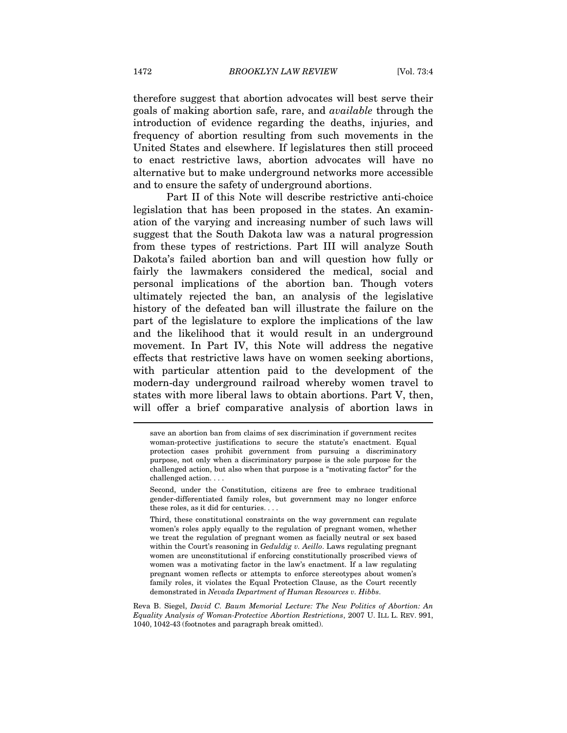therefore suggest that abortion advocates will best serve their goals of making abortion safe, rare, and available through the introduction of evidence regarding the deaths, injuries, and frequency of abortion resulting from such movements in the United States and elsewhere. If legislatures then still proceed to enact restrictive laws, abortion advocates will have no alternative but to make underground networks more accessible and to ensure the safety of underground abortions.

Part II of this Note will describe restrictive anti-choice legislation that has been proposed in the states. An examination of the varying and increasing number of such laws will suggest that the South Dakota law was a natural progression from these types of restrictions. Part III will analyze South Dakota's failed abortion ban and will question how fully or fairly the lawmakers considered the medical, social and personal implications of the abortion ban. Though voters ultimately rejected the ban, an analysis of the legislative history of the defeated ban will illustrate the failure on the part of the legislature to explore the implications of the law and the likelihood that it would result in an underground movement. In Part IV, this Note will address the negative effects that restrictive laws have on women seeking abortions, with particular attention paid to the development of the modern-day underground railroad whereby women travel to states with more liberal laws to obtain abortions. Part V, then, will offer a brief comparative analysis of abortion laws in

Reva B. Siegel, David C. Baum Memorial Lecture: The New Politics of Abortion: An Equality Analysis of Woman-Protective Abortion Restrictions, 2007 U. ILL L. REV. 991, 1040, 1042-43 (footnotes and paragraph break omitted).

save an abortion ban from claims of sex discrimination if government recites woman-protective justifications to secure the statute's enactment. Equal protection cases prohibit government from pursuing a discriminatory purpose, not only when a discriminatory purpose is the sole purpose for the challenged action, but also when that purpose is a "motivating factor" for the challenged action. . . .

Second, under the Constitution, citizens are free to embrace traditional gender-differentiated family roles, but government may no longer enforce these roles, as it did for centuries. . . .

Third, these constitutional constraints on the way government can regulate women's roles apply equally to the regulation of pregnant women, whether we treat the regulation of pregnant women as facially neutral or sex based within the Court's reasoning in Geduldig v. Aeillo. Laws regulating pregnant women are unconstitutional if enforcing constitutionally proscribed views of women was a motivating factor in the law's enactment. If a law regulating pregnant women reflects or attempts to enforce stereotypes about women's family roles, it violates the Equal Protection Clause, as the Court recently demonstrated in Nevada Department of Human Resources v. Hibbs.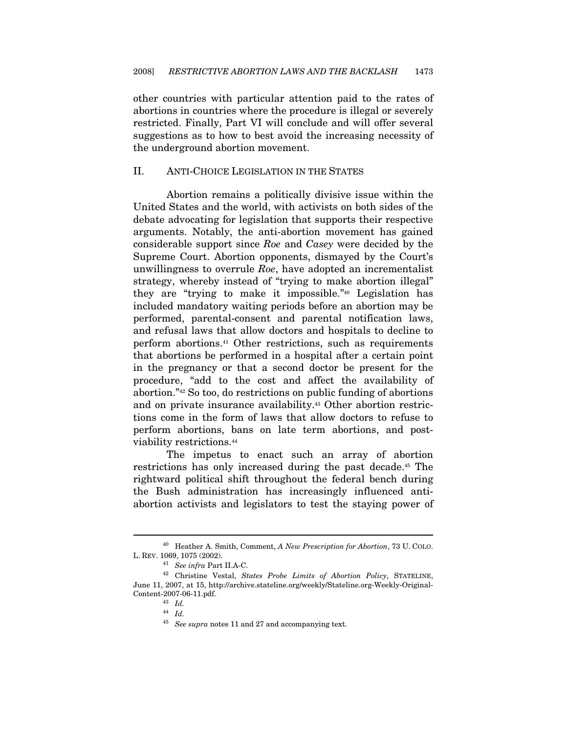other countries with particular attention paid to the rates of abortions in countries where the procedure is illegal or severely restricted. Finally, Part VI will conclude and will offer several suggestions as to how to best avoid the increasing necessity of the underground abortion movement.

#### II. ANTI-CHOICE LEGISLATION IN THE STATES

Abortion remains a politically divisive issue within the United States and the world, with activists on both sides of the debate advocating for legislation that supports their respective arguments. Notably, the anti-abortion movement has gained considerable support since Roe and Casey were decided by the Supreme Court. Abortion opponents, dismayed by the Court's unwillingness to overrule Roe, have adopted an incrementalist strategy, whereby instead of "trying to make abortion illegal" they are "trying to make it impossible."40 Legislation has included mandatory waiting periods before an abortion may be performed, parental-consent and parental notification laws, and refusal laws that allow doctors and hospitals to decline to perform abortions.41 Other restrictions, such as requirements that abortions be performed in a hospital after a certain point in the pregnancy or that a second doctor be present for the procedure, "add to the cost and affect the availability of abortion."42 So too, do restrictions on public funding of abortions and on private insurance availability.<sup>43</sup> Other abortion restrictions come in the form of laws that allow doctors to refuse to perform abortions, bans on late term abortions, and postviability restrictions.44

The impetus to enact such an array of abortion restrictions has only increased during the past decade.45 The rightward political shift throughout the federal bench during the Bush administration has increasingly influenced antiabortion activists and legislators to test the staying power of

 $^{40}\;$  Heather A. Smith, Comment,  $A$   $New$   $Prescription$  for Abortion, 73 U. COLO. L. REV. 1069, 1075 (2002).

<sup>&</sup>lt;sup>41</sup> See infra Part II.A-C.<br><sup>42</sup> Christine Vestal, *States Probe Limits of Abortion Policy*, STATELINE, June 11, 2007, at 15, http://archive.stateline.org/weekly/Stateline.org-Weekly-Original-Content-2007-06-11.pdf.  $^{43}$  Id.  $^{44}$  Id.  $^{45}$  See supra notes 11 and 27 and accompanying text.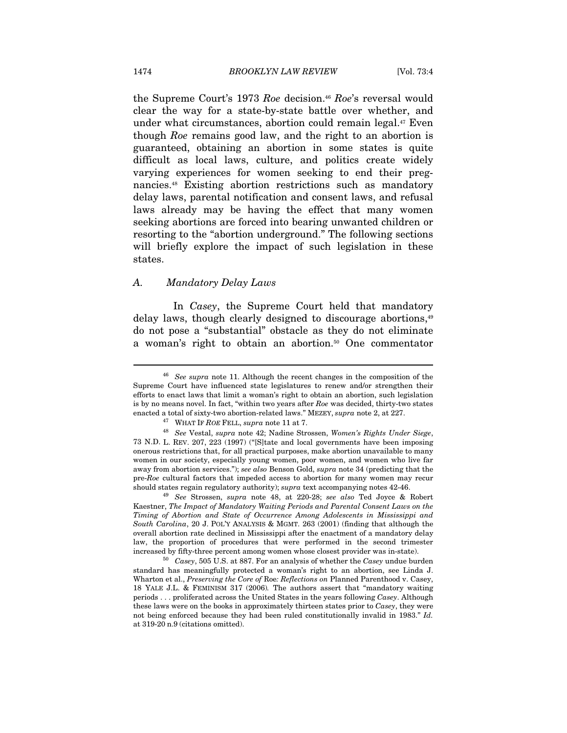the Supreme Court's 1973 Roe decision.<sup>46</sup> Roe's reversal would clear the way for a state-by-state battle over whether, and under what circumstances, abortion could remain legal.47 Even though Roe remains good law, and the right to an abortion is guaranteed, obtaining an abortion in some states is quite difficult as local laws, culture, and politics create widely varying experiences for women seeking to end their pregnancies.48 Existing abortion restrictions such as mandatory delay laws, parental notification and consent laws, and refusal laws already may be having the effect that many women seeking abortions are forced into bearing unwanted children or resorting to the "abortion underground." The following sections will briefly explore the impact of such legislation in these states.

#### A. Mandatory Delay Laws

In Casey, the Supreme Court held that mandatory delay laws, though clearly designed to discourage abortions,<sup>49</sup> do not pose a "substantial" obstacle as they do not eliminate a woman's right to obtain an abortion.50 One commentator

 $46$  See supra note 11. Although the recent changes in the composition of the Supreme Court have influenced state legislatures to renew and/or strengthen their efforts to enact laws that limit a woman's right to obtain an abortion, such legislation is by no means novel. In fact, "within two years after Roe was decided, thirty-two states enacted a total of sixty-two abortion-related laws." MEZEY, supra note 2, at 227.  $^{47}$  WHAT IF ROE FELL, supra note 11 at 7.

<sup>48</sup> See Vestal, supra note 42; Nadine Strossen, Women's Rights Under Siege, 73 N.D. L. REV. 207, 223 (1997) ("[S]tate and local governments have been imposing onerous restrictions that, for all practical purposes, make abortion unavailable to many women in our society, especially young women, poor women, and women who live far away from abortion services."); see also Benson Gold, supra note 34 (predicting that the pre-Roe cultural factors that impeded access to abortion for many women may recur should states regain regulatory authority); supra text accompanying notes 42-46. 49 See Strossen, supra note 48, at 220-28; see also Ted Joyce & Robert

Kaestner, The Impact of Mandatory Waiting Periods and Parental Consent Laws on the Timing of Abortion and State of Occurrence Among Adolescents in Mississippi and South Carolina, 20 J. POL'Y ANALYSIS & MGMT. 263 (2001) (finding that although the overall abortion rate declined in Mississippi after the enactment of a mandatory delay law, the proportion of procedures that were performed in the second trimester increased by fifty-three percent among women whose closest provider was in-state). 50 Casey, 505 U.S. at 887. For an analysis of whether the Casey undue burden

standard has meaningfully protected a woman's right to an abortion, see Linda J. Wharton et al., Preserving the Core of Roe: Reflections on Planned Parenthood v. Casey, 18 YALE J.L. & FEMINISM 317 (2006). The authors assert that "mandatory waiting periods . . . proliferated across the United States in the years following Casey. Although these laws were on the books in approximately thirteen states prior to Casey, they were not being enforced because they had been ruled constitutionally invalid in 1983." Id. at 319-20 n.9 (citations omitted).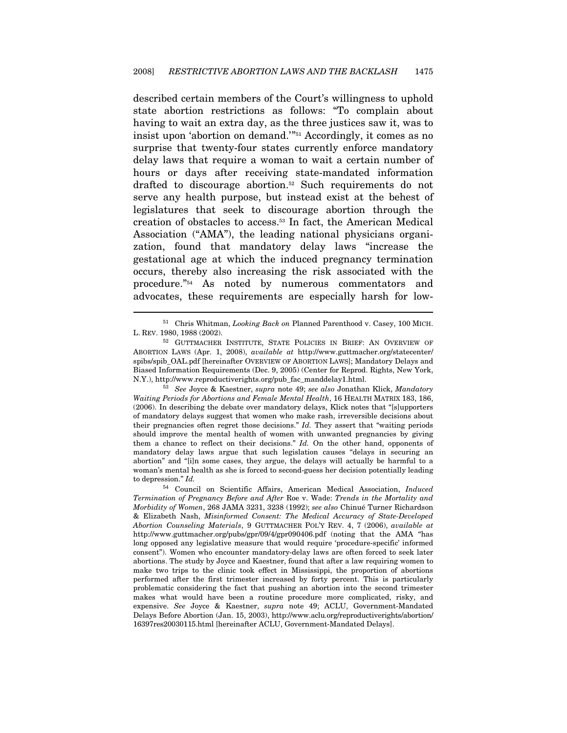described certain members of the Court's willingness to uphold state abortion restrictions as follows: "To complain about having to wait an extra day, as the three justices saw it, was to insist upon 'abortion on demand.'"51 Accordingly, it comes as no surprise that twenty-four states currently enforce mandatory delay laws that require a woman to wait a certain number of hours or days after receiving state-mandated information drafted to discourage abortion.52 Such requirements do not serve any health purpose, but instead exist at the behest of legislatures that seek to discourage abortion through the creation of obstacles to access.53 In fact, the American Medical Association ("AMA"), the leading national physicians organization, found that mandatory delay laws "increase the gestational age at which the induced pregnancy termination occurs, thereby also increasing the risk associated with the procedure."54 As noted by numerous commentators and advocates, these requirements are especially harsh for low-

<sup>&</sup>lt;sup>51</sup> Chris Whitman, *Looking Back on* Planned Parenthood v. Casey, 100 MICH. L. REV. 1980, 1988 (2002).

<sup>52</sup> GUTTMACHER INSTITUTE, STATE POLICIES IN BRIEF: AN OVERVIEW OF ABORTION LAWS (Apr. 1, 2008), available at http://www.guttmacher.org/statecenter/ spibs/spib\_OAL.pdf [hereinafter OVERVIEW OF ABORTION LAWS]; Mandatory Delays and Biased Information Requirements (Dec. 9, 2005) (Center for Reprod. Rights, New York, N.Y.), http://www.reproductiverights.org/pub\_fac\_manddelay1.html. 53 See Joyce & Kaestner, supra note 49; see also Jonathan Klick, Mandatory

Waiting Periods for Abortions and Female Mental Health, 16 HEALTH MATRIX 183, 186, (2006). In describing the debate over mandatory delays, Klick notes that "[s]upporters of mandatory delays suggest that women who make rash, irreversible decisions about their pregnancies often regret those decisions." Id. They assert that "waiting periods should improve the mental health of women with unwanted pregnancies by giving them a chance to reflect on their decisions." Id. On the other hand, opponents of mandatory delay laws argue that such legislation causes "delays in securing an abortion" and "[i]n some cases, they argue, the delays will actually be harmful to a woman's mental health as she is forced to second-guess her decision potentially leading to depression." Id.

<sup>54</sup> Council on Scientific Affairs, American Medical Association, Induced Termination of Pregnancy Before and After Roe v. Wade: Trends in the Mortality and Morbidity of Women, 268 JAMA 3231, 3238 (1992); see also Chinué Turner Richardson & Elizabeth Nash, Misinformed Consent: The Medical Accuracy of State-Developed Abortion Counseling Materials, 9 GUTTMACHER POL'Y REV. 4, 7 (2006), available at http://www.guttmacher.org/pubs/gpr/09/4/gpr090406.pdf (noting that the AMA "has long opposed any legislative measure that would require 'procedure-specific' informed consent"). Women who encounter mandatory-delay laws are often forced to seek later abortions. The study by Joyce and Kaestner, found that after a law requiring women to make two trips to the clinic took effect in Mississippi, the proportion of abortions performed after the first trimester increased by forty percent. This is particularly problematic considering the fact that pushing an abortion into the second trimester makes what would have been a routine procedure more complicated, risky, and expensive. See Joyce & Kaestner, supra note 49; ACLU, Government-Mandated Delays Before Abortion (Jan. 15, 2003), http://www.aclu.org/reproductiverights/abortion/ 16397res20030115.html [hereinafter ACLU, Government-Mandated Delays].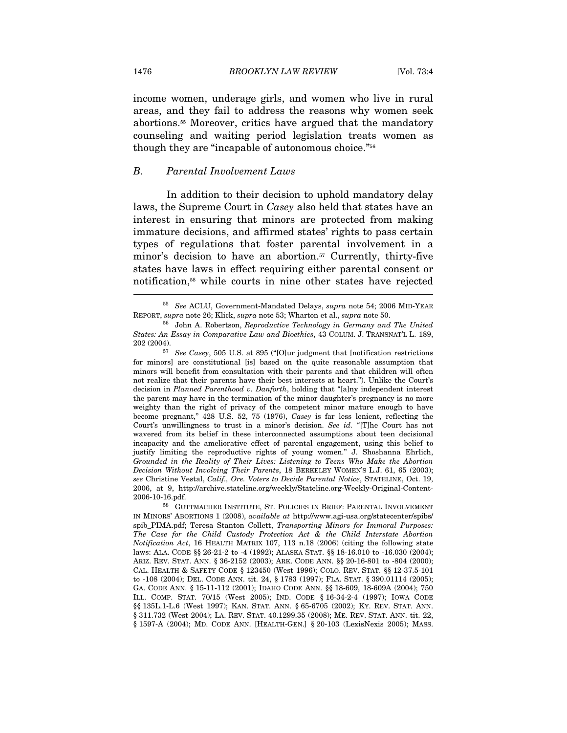income women, underage girls, and women who live in rural areas, and they fail to address the reasons why women seek abortions.55 Moreover, critics have argued that the mandatory counseling and waiting period legislation treats women as though they are "incapable of autonomous choice."56

#### B. Parental Involvement Laws

In addition to their decision to uphold mandatory delay laws, the Supreme Court in Casey also held that states have an interest in ensuring that minors are protected from making immature decisions, and affirmed states' rights to pass certain types of regulations that foster parental involvement in a minor's decision to have an abortion.<sup>57</sup> Currently, thirty-five states have laws in effect requiring either parental consent or notification,58 while courts in nine other states have rejected

<sup>55</sup> See ACLU, Government-Mandated Delays, supra note 54; 2006 MID-YEAR REPORT, supra note 26; Klick, supra note 53; Wharton et al., supra note 50.<br><sup>56</sup> John A. Robertson, *Reproductive Technology in Germany and The United* 

States: An Essay in Comparative Law and Bioethics, 43 COLUM. J. TRANSNAT'L L. 189, 202 (2004).

 $207$  See Casey, 505 U.S. at 895 ("[O]ur judgment that [notification restrictions for minors] are constitutional [is] based on the quite reasonable assumption that minors will benefit from consultation with their parents and that children will often not realize that their parents have their best interests at heart."). Unlike the Court's decision in Planned Parenthood v. Danforth, holding that "[a]ny independent interest the parent may have in the termination of the minor daughter's pregnancy is no more weighty than the right of privacy of the competent minor mature enough to have become pregnant," 428 U.S. 52, 75 (1976), Casey is far less lenient, reflecting the Court's unwillingness to trust in a minor's decision. See id. "[T]he Court has not wavered from its belief in these interconnected assumptions about teen decisional incapacity and the ameliorative effect of parental engagement, using this belief to justify limiting the reproductive rights of young women." J. Shoshanna Ehrlich, Grounded in the Reality of Their Lives: Listening to Teens Who Make the Abortion Decision Without Involving Their Parents, 18 BERKELEY WOMEN'S L.J. 61, 65 (2003); see Christine Vestal, Calif., Ore. Voters to Decide Parental Notice, STATELINE, Oct. 19, 2006, at 9, http://archive.stateline.org/weekly/Stateline.org-Weekly-Original-Content-2006-10-16.pdf.

<sup>58</sup> GUTTMACHER INSTITUTE, ST. POLICIES IN BRIEF: PARENTAL INVOLVEMENT IN MINORS' ABORTIONS 1 (2008), available at http://www.agi-usa.org/statecenter/spibs/ spib\_PIMA.pdf; Teresa Stanton Collett, Transporting Minors for Immoral Purposes: The Case for the Child Custody Protection Act & the Child Interstate Abortion Notification Act, 16 HEALTH MATRIX 107, 113 n.18 (2006) (citing the following state laws: ALA. CODE §§ 26-21-2 to -4 (1992); ALASKA STAT. §§ 18-16.010 to -16.030 (2004); ARIZ. REV. STAT. ANN. § 36-2152 (2003); ARK. CODE ANN. §§ 20-16-801 to -804 (2000); CAL. HEALTH & SAFETY CODE § 123450 (West 1996); COLO. REV. STAT. §§ 12-37.5-101 to -108 (2004); DEL. CODE ANN. tit. 24, § 1783 (1997); FLA. STAT. § 390.01114 (2005); GA. CODE ANN. § 15-11-112 (2001); IDAHO CODE ANN. §§ 18-609, 18-609A (2004); 750 ILL. COMP. STAT. 70/15 (West 2005); IND. CODE § 16-34-2-4 (1997); IOWA CODE §§ 135L.1-L.6 (West 1997); KAN. STAT. ANN. § 65-6705 (2002); KY. REV. STAT. ANN. § 311.732 (West 2004); LA. REV. STAT. 40.1299.35 (2008); ME. REV. STAT. ANN. tit. 22, § 1597-A (2004); MD. CODE ANN. [HEALTH-GEN.] § 20-103 (LexisNexis 2005); MASS.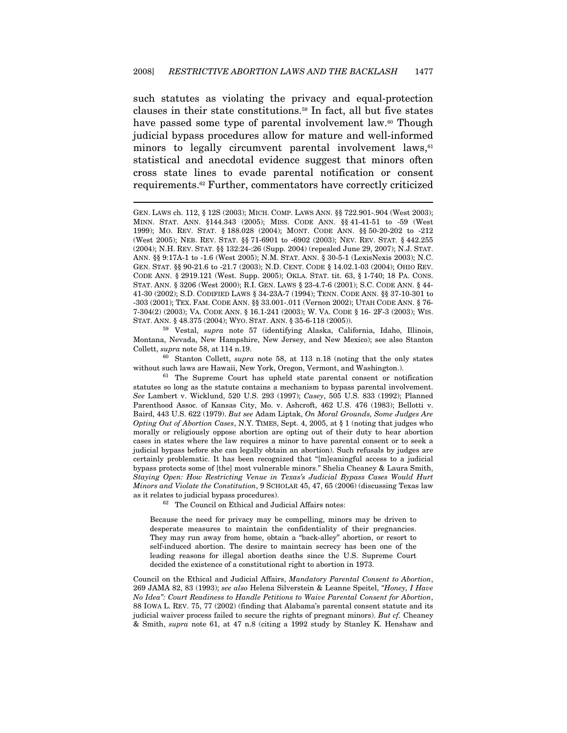such statutes as violating the privacy and equal-protection clauses in their state constitutions.59 In fact, all but five states have passed some type of parental involvement law.<sup>60</sup> Though judicial bypass procedures allow for mature and well-informed minors to legally circumvent parental involvement laws,<sup>61</sup> statistical and anecdotal evidence suggest that minors often cross state lines to evade parental notification or consent requirements.62 Further, commentators have correctly criticized

 $\overline{a}$ 

Montana, Nevada, New Hampshire, New Jersey, and New Mexico); see also Stanton Collett, *supra* note 58, at 114 n.19.  $\frac{60}{100}$  Stanton Collett, *supra* note 58, at 113 n.18 (noting that the only states

without such laws are Hawaii, New York, Oregon, Vermont, and Washington.).<br><sup>61</sup> The Supreme Court has upheld state parental consent or notification statutes so long as the statute contains a mechanism to bypass parental involvement. See Lambert v. Wicklund, 520 U.S. 293 (1997); Casey, 505 U.S. 833 (1992); Planned Parenthood Assoc. of Kansas City, Mo. v. Ashcroft, 462 U.S. 476 (1983); Bellotti v. Baird, 443 U.S. 622 (1979). But see Adam Liptak, On Moral Grounds, Some Judges Are Opting Out of Abortion Cases, N.Y. TIMES, Sept. 4, 2005, at § 1 (noting that judges who morally or religiously oppose abortion are opting out of their duty to hear abortion cases in states where the law requires a minor to have parental consent or to seek a judicial bypass before she can legally obtain an abortion). Such refusals by judges are certainly problematic. It has been recognized that "[m]eaningful access to a judicial bypass protects some of [the] most vulnerable minors." Shelia Cheaney & Laura Smith, Staying Open: How Restricting Venue in Texas's Judicial Bypass Cases Would Hurt Minors and Violate the Constitution, 9 SCHOLAR 45, 47, 65 (2006) (discussing Texas law as it relates to judicial bypass procedures). 62 The Council on Ethical and Judicial Affairs notes:

Because the need for privacy may be compelling, minors may be driven to desperate measures to maintain the confidentiality of their pregnancies. They may run away from home, obtain a "back-alley" abortion, or resort to self-induced abortion. The desire to maintain secrecy has been one of the leading reasons for illegal abortion deaths since the U.S. Supreme Court decided the existence of a constitutional right to abortion in 1973.

Council on the Ethical and Judicial Affairs, Mandatory Parental Consent to Abortion, 269 JAMA 82, 83 (1993); see also Helena Silverstein & Leanne Speitel, "Honey, I Have No Idea": Court Readiness to Handle Petitions to Waive Parental Consent for Abortion, 88 IOWA L. REV. 75, 77 (2002) (finding that Alabama's parental consent statute and its judicial waiver process failed to secure the rights of pregnant minors). But  $cf$ . Cheaney & Smith, supra note 61, at 47 n.8 (citing a 1992 study by Stanley K. Henshaw and

GEN. LAWS ch. 112, § 12S (2003); MICH. COMP. LAWS ANN. §§ 722.901-.904 (West 2003); MINN. STAT. ANN. §144.343 (2005); MISS. CODE ANN. §§ 41-41-51 to -59 (West 1999); MO. REV. STAT. § 188.028 (2004); MONT. CODE ANN. §§ 50-20-202 to -212 (West 2005); NEB. REV. STAT. §§ 71-6901 to -6902 (2003); NEV. REV. STAT. § 442.255 (2004); N.H. REV. STAT. §§ 132:24-:26 (Supp. 2004) (repealed June 29, 2007); N.J. STAT. ANN. §§ 9:17A-1 to -1.6 (West 2005); N.M. STAT. ANN. § 30-5-1 (LexisNexis 2003); N.C. GEN. STAT. §§ 90-21.6 to -21.7 (2003); N.D. CENT. CODE § 14.02.1-03 (2004); OHIO REV. CODE ANN. § 2919.121 (West. Supp. 2005); OKLA. STAT. tit. 63, § 1-740; 18 PA. CONS. STAT. ANN. § 3206 (West 2000); R.I. GEN. LAWS § 23-4.7-6 (2001); S.C. CODE ANN. § 44- 41-30 (2002); S.D. CODIFIED LAWS § 34-23A-7 (1994); TENN. CODE ANN. §§ 37-10-301 to -303 (2001); TEX. FAM. CODE ANN. §§ 33.001-.011 (Vernon 2002); UTAH CODE ANN. § 76- 7-304(2) (2003); VA. CODE ANN. § 16.1-241 (2003); W. VA. CODE § 16- 2F-3 (2003); WIS. STAT. ANN. § 48.375 (2004); WYO. STAT. ANN. § 35-6-118 (2005)). 59 Vestal, supra note 57 (identifying Alaska, California, Idaho, Illinois,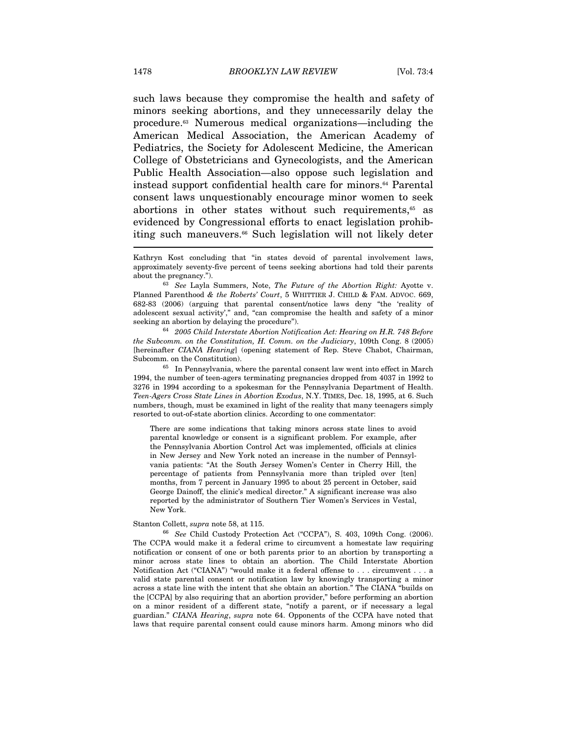such laws because they compromise the health and safety of minors seeking abortions, and they unnecessarily delay the procedure.63 Numerous medical organizations—including the American Medical Association, the American Academy of Pediatrics, the Society for Adolescent Medicine, the American College of Obstetricians and Gynecologists, and the American Public Health Association—also oppose such legislation and instead support confidential health care for minors.64 Parental consent laws unquestionably encourage minor women to seek abortions in other states without such requirements,<sup>65</sup> as evidenced by Congressional efforts to enact legislation prohibiting such maneuvers.<sup>66</sup> Such legislation will not likely deter

Planned Parenthood & the Roberts' Court, 5 WHITTIER J. CHILD & FAM. ADVOC. 669, 682-83 (2006) (arguing that parental consent/notice laws deny "the 'reality of adolescent sexual activity'," and, "can compromise the health and safety of a minor seeking an abortion by delaying the procedure").<br><sup>64</sup> 2005 Child Interstate Abortion Notification Act: Hearing on H.R. 748 Before

the Subcomm. on the Constitution, H. Comm. on the Judiciary, 109th Cong. 8 (2005) [hereinafter CIANA Hearing] (opening statement of Rep. Steve Chabot, Chairman, Subcomm. on the Constitution). 65 In Pennsylvania, where the parental consent law went into effect in March

1994, the number of teen-agers terminating pregnancies dropped from 4037 in 1992 to 3276 in 1994 according to a spokesman for the Pennsylvania Department of Health. Teen-Agers Cross State Lines in Abortion Exodus, N.Y. TIMES, Dec. 18, 1995, at 6. Such numbers, though, must be examined in light of the reality that many teenagers simply resorted to out-of-state abortion clinics. According to one commentator:

There are some indications that taking minors across state lines to avoid parental knowledge or consent is a significant problem. For example, after the Pennsylvania Abortion Control Act was implemented, officials at clinics in New Jersey and New York noted an increase in the number of Pennsylvania patients: "At the South Jersey Women's Center in Cherry Hill, the percentage of patients from Pennsylvania more than tripled over [ten] months, from 7 percent in January 1995 to about 25 percent in October, said George Dainoff, the clinic's medical director." A significant increase was also reported by the administrator of Southern Tier Women's Services in Vestal, New York.

Stanton Collett, *supra* note 58, at 115.<br><sup>66</sup> See Child Custody Protection Act ("CCPA"), S. 403, 109th Cong. (2006). The CCPA would make it a federal crime to circumvent a homestate law requiring notification or consent of one or both parents prior to an abortion by transporting a minor across state lines to obtain an abortion. The Child Interstate Abortion Notification Act ("CIANA") "would make it a federal offense to . . . circumvent . . . a valid state parental consent or notification law by knowingly transporting a minor across a state line with the intent that she obtain an abortion." The CIANA "builds on the [CCPA] by also requiring that an abortion provider," before performing an abortion on a minor resident of a different state, "notify a parent, or if necessary a legal guardian." CIANA Hearing, supra note 64. Opponents of the CCPA have noted that laws that require parental consent could cause minors harm. Among minors who did

Kathryn Kost concluding that "in states devoid of parental involvement laws, approximately seventy-five percent of teens seeking abortions had told their parents about the pregnancy.").  $63\text{}$  See Layla Summers, Note, The Future of the Abortion Right: Ayotte v.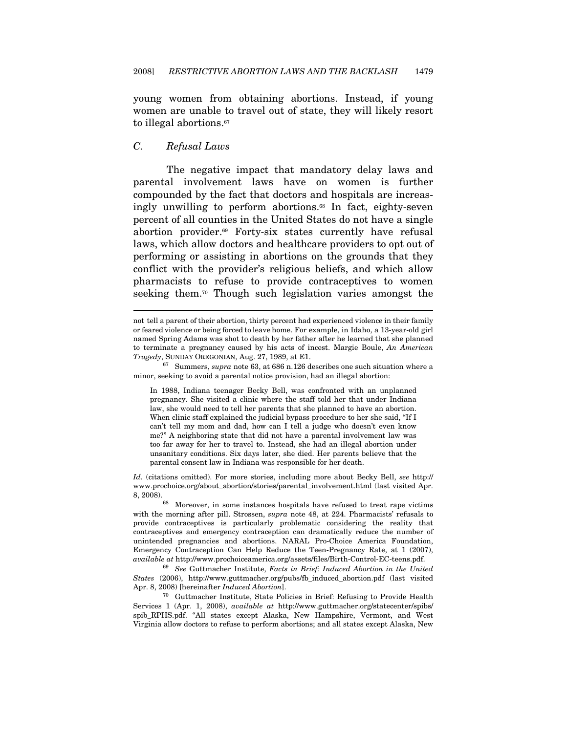young women from obtaining abortions. Instead, if young women are unable to travel out of state, they will likely resort to illegal abortions.<sup>67</sup>

#### C. Refusal Laws

 $\overline{a}$ 

The negative impact that mandatory delay laws and parental involvement laws have on women is further compounded by the fact that doctors and hospitals are increasingly unwilling to perform abortions.<sup>68</sup> In fact, eighty-seven percent of all counties in the United States do not have a single abortion provider.69 Forty-six states currently have refusal laws, which allow doctors and healthcare providers to opt out of performing or assisting in abortions on the grounds that they conflict with the provider's religious beliefs, and which allow pharmacists to refuse to provide contraceptives to women seeking them.70 Though such legislation varies amongst the

In 1988, Indiana teenager Becky Bell, was confronted with an unplanned pregnancy. She visited a clinic where the staff told her that under Indiana law, she would need to tell her parents that she planned to have an abortion. When clinic staff explained the judicial bypass procedure to her she said, "If I can't tell my mom and dad, how can I tell a judge who doesn't even know me?" A neighboring state that did not have a parental involvement law was too far away for her to travel to. Instead, she had an illegal abortion under unsanitary conditions. Six days later, she died. Her parents believe that the parental consent law in Indiana was responsible for her death.

Id. (citations omitted). For more stories, including more about Becky Bell, see http:// www.prochoice.org/about\_abortion/stories/parental\_involvement.html (last visited Apr. 8, 2008). 68 Moreover, in some instances hospitals have refused to treat rape victims

with the morning after pill. Strossen, supra note 48, at 224. Pharmacists' refusals to provide contraceptives is particularly problematic considering the reality that contraceptives and emergency contraception can dramatically reduce the number of unintended pregnancies and abortions. NARAL Pro-Choice America Foundation, Emergency Contraception Can Help Reduce the Teen-Pregnancy Rate, at 1 (2007), available at http://www.prochoiceamerica.org/assets/files/Birth-Control-EC-teens.pdf. 69 See Guttmacher Institute, Facts in Brief: Induced Abortion in the United

States (2006), http://www.guttmacher.org/pubs/fb\_induced\_abortion.pdf (last visited Apr. 8, 2008) [hereinafter *Induced Abortion*].<br><sup>70</sup> Guttmacher Institute, State Policies in Brief: Refusing to Provide Health

Services 1 (Apr. 1, 2008), available at http://www.guttmacher.org/statecenter/spibs/ spib\_RPHS.pdf. "All states except Alaska, New Hampshire, Vermont, and West Virginia allow doctors to refuse to perform abortions; and all states except Alaska, New

not tell a parent of their abortion, thirty percent had experienced violence in their family or feared violence or being forced to leave home. For example, in Idaho, a 13-year-old girl named Spring Adams was shot to death by her father after he learned that she planned to terminate a pregnancy caused by his acts of incest. Margie Boule, An American Tragedy, SUNDAY OREGONIAN, Aug. 27, 1989, at E1.<br><sup>67</sup> Summers, *supra* note 63, at 686 n.126 describes one such situation where a

minor, seeking to avoid a parental notice provision, had an illegal abortion: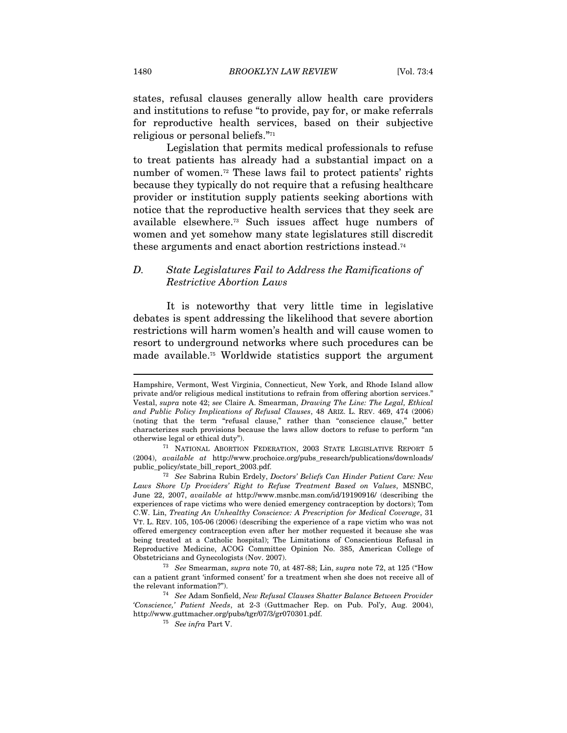states, refusal clauses generally allow health care providers and institutions to refuse "to provide, pay for, or make referrals for reproductive health services, based on their subjective religious or personal beliefs."71

Legislation that permits medical professionals to refuse to treat patients has already had a substantial impact on a number of women.<sup>72</sup> These laws fail to protect patients' rights because they typically do not require that a refusing healthcare provider or institution supply patients seeking abortions with notice that the reproductive health services that they seek are available elsewhere.73 Such issues affect huge numbers of women and yet somehow many state legislatures still discredit these arguments and enact abortion restrictions instead.74

### D. State Legislatures Fail to Address the Ramifications of Restrictive Abortion Laws

It is noteworthy that very little time in legislative debates is spent addressing the likelihood that severe abortion restrictions will harm women's health and will cause women to resort to underground networks where such procedures can be made available.75 Worldwide statistics support the argument

Hampshire, Vermont, West Virginia, Connecticut, New York, and Rhode Island allow private and/or religious medical institutions to refrain from offering abortion services." Vestal, supra note 42; see Claire A. Smearman, Drawing The Line: The Legal, Ethical and Public Policy Implications of Refusal Clauses, 48 ARIZ. L. REV. 469, 474 (2006) (noting that the term "refusal clause," rather than "conscience clause," better characterizes such provisions because the laws allow doctors to refuse to perform "an

otherwise legal or ethical duty"). 71 NATIONAL ABORTION FEDERATION, <sup>2003</sup> STATE LEGISLATIVE REPORT 5 (2004), available at http://www.prochoice.org/pubs\_research/publications/downloads/ public\_policy/state\_bill\_report\_2003.pdf.<br><sup>72</sup> See Sabrina Rubin Erdely, Doctors' Beliefs Can Hinder Patient Care: New

Laws Shore Up Providers' Right to Refuse Treatment Based on Values, MSNBC, June 22, 2007, available at http://www.msnbc.msn.com/id/19190916/ (describing the experiences of rape victims who were denied emergency contraception by doctors); Tom C.W. Lin, Treating An Unhealthy Conscience: A Prescription for Medical Coverage, 31 VT. L. REV. 105, 105-06 (2006) (describing the experience of a rape victim who was not offered emergency contraception even after her mother requested it because she was being treated at a Catholic hospital); The Limitations of Conscientious Refusal in Reproductive Medicine, ACOG Committee Opinion No. 385, American College of

Obstetricians and Gynecologists (Nov. 2007).  $^{73}$  See Smearman, supra note 70, at 487-88; Lin, supra note 72, at 125 ("How can a patient grant 'informed consent' for a treatment when she does not receive all of the relevant information?"). 74 See Adam Sonfield, New Refusal Clauses Shatter Balance Between Provider

<sup>&#</sup>x27;Conscience,' Patient Needs, at 2-3 (Guttmacher Rep. on Pub. Pol'y, Aug. 2004), http://www.guttmacher.org/pubs/tgr/07/3/gr070301.pdf. 75 See infra Part V.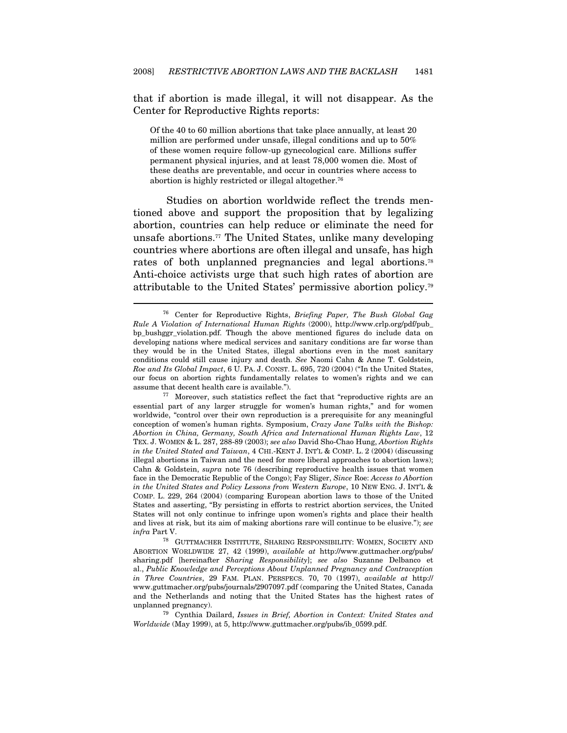that if abortion is made illegal, it will not disappear. As the Center for Reproductive Rights reports:

Of the 40 to 60 million abortions that take place annually, at least 20 million are performed under unsafe, illegal conditions and up to 50% of these women require follow-up gynecological care. Millions suffer permanent physical injuries, and at least 78,000 women die. Most of these deaths are preventable, and occur in countries where access to abortion is highly restricted or illegal altogether.76

Studies on abortion worldwide reflect the trends mentioned above and support the proposition that by legalizing abortion, countries can help reduce or eliminate the need for unsafe abortions.77 The United States, unlike many developing countries where abortions are often illegal and unsafe, has high rates of both unplanned pregnancies and legal abortions.78 Anti-choice activists urge that such high rates of abortion are attributable to the United States' permissive abortion policy.79

<sup>76</sup> Center for Reproductive Rights, Briefing Paper, The Bush Global Gag Rule A Violation of International Human Rights (2000), http://www.crlp.org/pdf/pub\_ bp\_bushggr\_violation.pdf. Though the above mentioned figures do include data on developing nations where medical services and sanitary conditions are far worse than they would be in the United States, illegal abortions even in the most sanitary conditions could still cause injury and death. See Naomi Cahn & Anne T. Goldstein, Roe and Its Global Impact, 6 U. PA. J. CONST. L. 695, 720 (2004) ("In the United States, our focus on abortion rights fundamentally relates to women's rights and we can assume that decent health care is available.").<br><sup>77</sup> Moreover, such statistics reflect the fact that "reproductive rights are an

essential part of any larger struggle for women's human rights," and for women worldwide, "control over their own reproduction is a prerequisite for any meaningful conception of women's human rights. Symposium, Crazy Jane Talks with the Bishop: Abortion in China, Germany, South Africa and International Human Rights Law, 12 TEX. J. WOMEN & L. 287, 288-89 (2003); see also David Sho-Chao Hung, Abortion Rights in the United Stated and Taiwan, 4 CHI.-KENT J. INT'L & COMP. L. 2 (2004) (discussing illegal abortions in Taiwan and the need for more liberal approaches to abortion laws); Cahn & Goldstein, supra note 76 (describing reproductive health issues that women face in the Democratic Republic of the Congo); Fay Sliger, Since Roe: Access to Abortion in the United States and Policy Lessons from Western Europe, 10 NEW ENG. J. INT'L & COMP. L. 229, 264 (2004) (comparing European abortion laws to those of the United States and asserting, "By persisting in efforts to restrict abortion services, the United States will not only continue to infringe upon women's rights and place their health and lives at risk, but its aim of making abortions rare will continue to be elusive."); see

 $\emph{infra$  Part V.  $^{78}$  GUTTMACHER INSTITUTE, SHARING RESPONSIBILITY: WOMEN, SOCIETY ANDABORTION WORLDWIDE 27, 42 (1999), available at http://www.guttmacher.org/pubs/ sharing.pdf [hereinafter Sharing Responsibility]; see also Suzanne Delbanco et al., Public Knowledge and Perceptions About Unplanned Pregnancy and Contraception in Three Countries, 29 FAM. PLAN. PERSPECS. 70, 70 (1997), available at http:// www.guttmacher.org/pubs/journals/2907097.pdf (comparing the United States, Canada and the Netherlands and noting that the United States has the highest rates of unplanned pregnancy).

 <sup>79</sup> Cynthia Dailard, Issues in Brief, Abortion in Context: United States and Worldwide (May 1999), at 5, http://www.guttmacher.org/pubs/ib\_0599.pdf.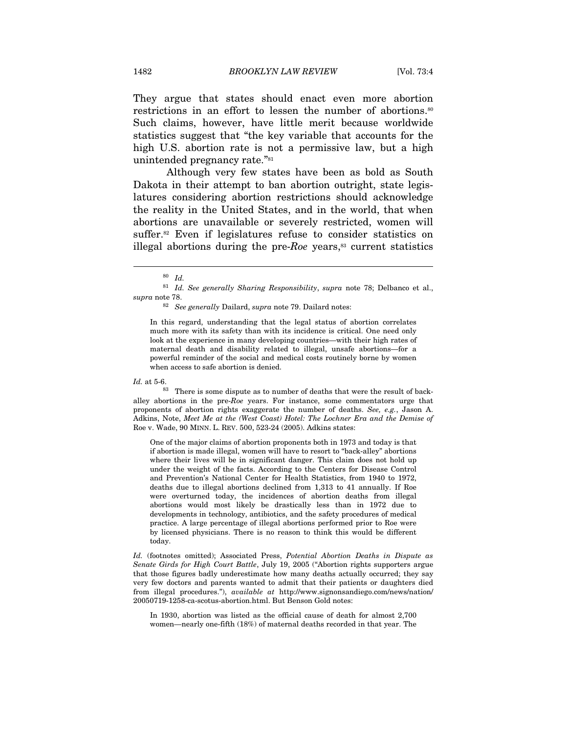They argue that states should enact even more abortion restrictions in an effort to lessen the number of abortions.<sup>80</sup> Such claims, however, have little merit because worldwide statistics suggest that "the key variable that accounts for the high U.S. abortion rate is not a permissive law, but a high unintended pregnancy rate."81

Although very few states have been as bold as South Dakota in their attempt to ban abortion outright, state legislatures considering abortion restrictions should acknowledge the reality in the United States, and in the world, that when abortions are unavailable or severely restricted, women will suffer.82 Even if legislatures refuse to consider statistics on illegal abortions during the pre- $Roe$  years,<sup>83</sup> current statistics

In this regard, understanding that the legal status of abortion correlates much more with its safety than with its incidence is critical. One need only look at the experience in many developing countries—with their high rates of maternal death and disability related to illegal, unsafe abortions—for a powerful reminder of the social and medical costs routinely borne by women when access to safe abortion is denied.

 $\overline{a}$ 

 $Id.$  at 5-6.  $83$  There is some dispute as to number of deaths that were the result of backalley abortions in the pre-Roe years. For instance, some commentators urge that proponents of abortion rights exaggerate the number of deaths. See, e.g., Jason A. Adkins, Note, Meet Me at the (West Coast) Hotel: The Lochner Era and the Demise of Roe v. Wade, 90 MINN. L. REV. 500, 523-24 (2005). Adkins states:

One of the major claims of abortion proponents both in 1973 and today is that if abortion is made illegal, women will have to resort to "back-alley" abortions where their lives will be in significant danger. This claim does not hold up under the weight of the facts. According to the Centers for Disease Control and Prevention's National Center for Health Statistics, from 1940 to 1972, deaths due to illegal abortions declined from 1,313 to 41 annually. If Roe were overturned today, the incidences of abortion deaths from illegal abortions would most likely be drastically less than in 1972 due to developments in technology, antibiotics, and the safety procedures of medical practice. A large percentage of illegal abortions performed prior to Roe were by licensed physicians. There is no reason to think this would be different today.

Id. (footnotes omitted); Associated Press, Potential Abortion Deaths in Dispute as Senate Girds for High Court Battle, July 19, 2005 ("Abortion rights supporters argue that those figures badly underestimate how many deaths actually occurred; they say very few doctors and parents wanted to admit that their patients or daughters died from illegal procedures."), available at http://www.signonsandiego.com/news/nation/ 20050719-1258-ca-scotus-abortion.html. But Benson Gold notes:

In 1930, abortion was listed as the official cause of death for almost 2,700 women—nearly one-fifth (18%) of maternal deaths recorded in that year. The

 $80$  Id.

 $81$  Id. See generally Sharing Responsibility, supra note 78; Delbanco et al., supra note 78.<br><sup>82</sup> See generally Dailard, supra note 79. Dailard notes: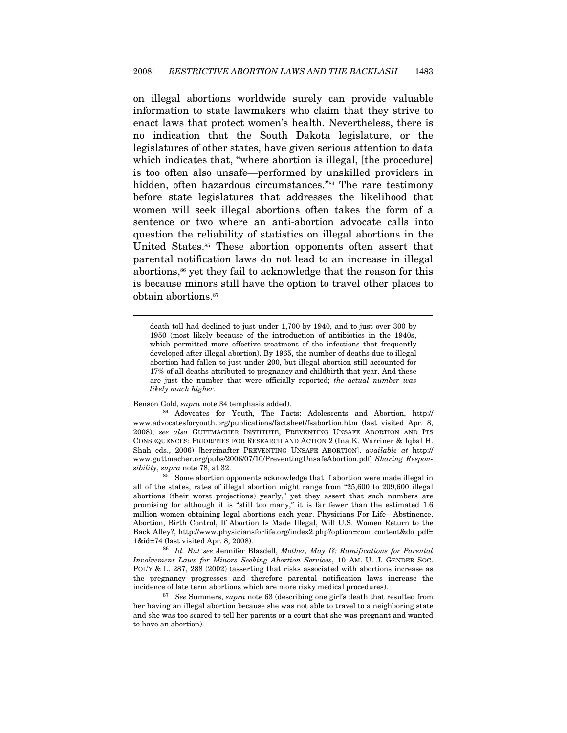on illegal abortions worldwide surely can provide valuable information to state lawmakers who claim that they strive to enact laws that protect women's health. Nevertheless, there is no indication that the South Dakota legislature, or the legislatures of other states, have given serious attention to data which indicates that, "where abortion is illegal, [the procedure] is too often also unsafe—performed by unskilled providers in hidden, often hazardous circumstances."<sup>84</sup> The rare testimony before state legislatures that addresses the likelihood that women will seek illegal abortions often takes the form of a sentence or two where an anti-abortion advocate calls into question the reliability of statistics on illegal abortions in the United States.85 These abortion opponents often assert that parental notification laws do not lead to an increase in illegal abortions,<sup>86</sup> yet they fail to acknowledge that the reason for this is because minors still have the option to travel other places to obtain abortions.87

death toll had declined to just under 1,700 by 1940, and to just over 300 by 1950 (most likely because of the introduction of antibiotics in the 1940s, which permitted more effective treatment of the infections that frequently developed after illegal abortion). By 1965, the number of deaths due to illegal abortion had fallen to just under 200, but illegal abortion still accounted for 17% of all deaths attributed to pregnancy and childbirth that year. And these are just the number that were officially reported; the actual number was likely much higher.

 $\overline{a}$ 

Benson Gold, supra note 34 (emphasis added). 84 Adovcates for Youth, The Facts: Adolescents and Abortion, http:// www.advocatesforyouth.org/publications/factsheet/fsabortion.htm (last visited Apr. 8, 2008); see also GUTTMACHER INSTITUTE, PREVENTING UNSAFE ABORTION AND ITS CONSEQUENCES: PRIORITIES FOR RESEARCH AND ACTION 2 (Ina K. Warriner & Iqbal H. Shah eds., 2006) [hereinafter PREVENTING UNSAFE ABORTION], available at http:// www.guttmacher.org/pubs/2006/07/10/PreventingUnsafeAbortion.pdf; Sharing Responsibility, supra note 78, at 32.  $85$  Some abortion opponents acknowledge that if abortion were made illegal in

all of the states, rates of illegal abortion might range from "25,600 to 209,600 illegal abortions (their worst projections) yearly," yet they assert that such numbers are promising for although it is "still too many," it is far fewer than the estimated 1.6 million women obtaining legal abortions each year. Physicians For Life—Abstinence, Abortion, Birth Control, If Abortion Is Made Illegal, Will U.S. Women Return to the Back Alley?, http://www.physiciansforlife.org/index2.php?option=com\_content&do\_pdf= 1&id=74 (last visited Apr. 8, 2008).

<sup>86</sup> Id. But see Jennifer Blasdell, Mother, May I?: Ramifications for Parental Involvement Laws for Minors Seeking Abortion Services, 10 AM. U. J. GENDER SOC. POL'Y & L. 287, 288 (2002) (asserting that risks associated with abortions increase as the pregnancy progresses and therefore parental notification laws increase the incidence of late term abortions which are more risky medical procedures).

 $87$  See Summers, supra note 63 (describing one girl's death that resulted from her having an illegal abortion because she was not able to travel to a neighboring state and she was too scared to tell her parents or a court that she was pregnant and wanted to have an abortion).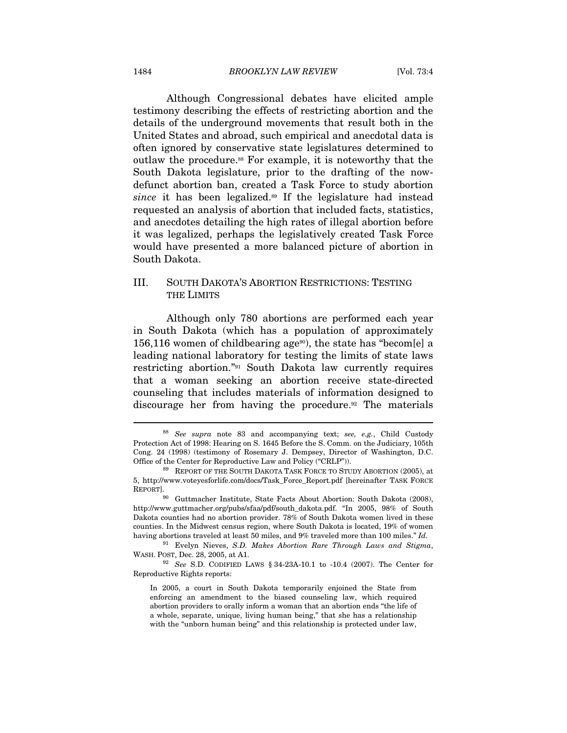Although Congressional debates have elicited ample testimony describing the effects of restricting abortion and the details of the underground movements that result both in the United States and abroad, such empirical and anecdotal data is often ignored by conservative state legislatures determined to outlaw the procedure.88 For example, it is noteworthy that the South Dakota legislature, prior to the drafting of the nowdefunct abortion ban, created a Task Force to study abortion since it has been legalized.<sup>89</sup> If the legislature had instead requested an analysis of abortion that included facts, statistics, and anecdotes detailing the high rates of illegal abortion before it was legalized, perhaps the legislatively created Task Force would have presented a more balanced picture of abortion in South Dakota.

### III. SOUTH DAKOTA'S ABORTION RESTRICTIONS: TESTING THE LIMITS

Although only 780 abortions are performed each year in South Dakota (which has a population of approximately 156,116 women of childbearing age<sup>90</sup>), the state has "becom[e] a leading national laboratory for testing the limits of state laws restricting abortion."91 South Dakota law currently requires that a woman seeking an abortion receive state-directed counseling that includes materials of information designed to discourage her from having the procedure.<sup>92</sup> The materials

<sup>91</sup> Evelyn Nieves, S.D. Makes Abortion Rare Through Laws and Stigma, WASH. POST, Dec. 28, 2005, at A1.<br><sup>92</sup> See S.D. CODIFIED LAWS § 34-23A-10.1 to -10.4 (2007). The Center for

Reproductive Rights reports:

 $88$  See supra note 83 and accompanying text; see, e.g., Child Custody Protection Act of 1998: Hearing on S. 1645 Before the S. Comm. on the Judiciary, 105th Cong. 24 (1998) (testimony of Rosemary J. Dempsey, Director of Washington, D.C. Office of the Center for Reproductive Law and Policy ("CRLP")).

 <sup>89</sup> REPORT OF THE SOUTH DAKOTA TASK FORCE TO STUDY ABORTION (2005), at 5, http://www.voteyesforlife.com/docs/Task\_Force\_Report.pdf [hereinafter TASK FORCE

<sup>&</sup>lt;sup>90</sup> Guttmacher Institute, State Facts About Abortion: South Dakota (2008), http://www.guttmacher.org/pubs/sfaa/pdf/south\_dakota.pdf. "In 2005, 98% of South Dakota counties had no abortion provider. 78% of South Dakota women lived in these counties. In the Midwest census region, where South Dakota is located, 19% of women having abortions traveled at least 50 miles, and 9% traveled more than 100 miles." Id.

In 2005, a court in South Dakota temporarily enjoined the State from enforcing an amendment to the biased counseling law, which required abortion providers to orally inform a woman that an abortion ends "the life of a whole, separate, unique, living human being," that she has a relationship with the "unborn human being" and this relationship is protected under law,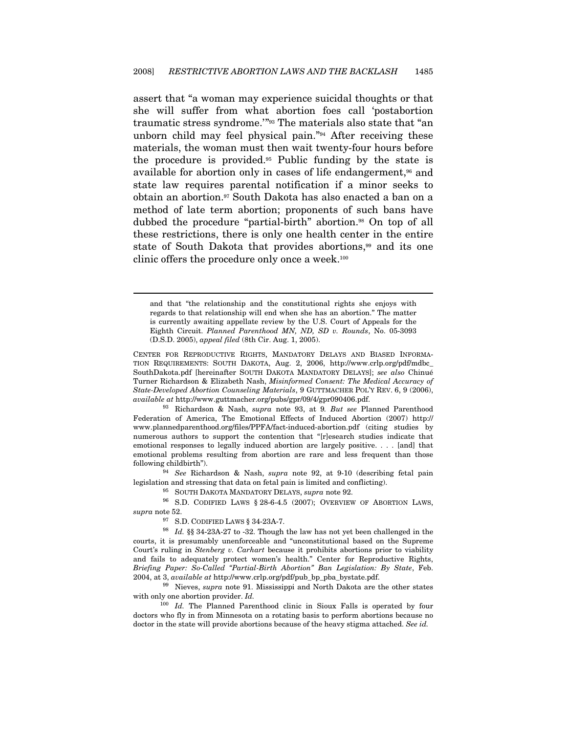assert that "a woman may experience suicidal thoughts or that she will suffer from what abortion foes call 'postabortion traumatic stress syndrome.'"93 The materials also state that "an unborn child may feel physical pain."94 After receiving these materials, the woman must then wait twenty-four hours before the procedure is provided.95 Public funding by the state is available for abortion only in cases of life endangerment,<sup>96</sup> and state law requires parental notification if a minor seeks to obtain an abortion.97 South Dakota has also enacted a ban on a method of late term abortion; proponents of such bans have dubbed the procedure "partial-birth" abortion.<sup>98</sup> On top of all these restrictions, there is only one health center in the entire state of South Dakota that provides abortions,<sup>99</sup> and its one clinic offers the procedure only once a week.<sup>100</sup>

and that "the relationship and the constitutional rights she enjoys with regards to that relationship will end when she has an abortion." The matter is currently awaiting appellate review by the U.S. Court of Appeals for the Eighth Circuit. Planned Parenthood MN, ND, SD v. Rounds, No. 05-3093 (D.S.D. 2005), appeal filed (8th Cir. Aug. 1, 2005).

CENTER FOR REPRODUCTIVE RIGHTS, MANDATORY DELAYS AND BIASED INFORMA-TION REQUIREMENTS: SOUTH DAKOTA, Aug. 2, 2006, http://www.crlp.org/pdf/mdbc\_ SouthDakota.pdf [hereinafter SOUTH DAKOTA MANDATORY DELAYS]; see also Chinué Turner Richardson & Elizabeth Nash, Misinformed Consent: The Medical Accuracy of State-Developed Abortion Counseling Materials, 9 GUTTMACHER POL'Y REV. 6, 9 (2006), available at http://www.guttmacher.org/pubs/gpr/09/4/gpr090406.pdf.<br><sup>93</sup> Richardson & Nash, *supra* note 93, at 9. But see Planned Parenthood

Federation of America, The Emotional Effects of Induced Abortion (2007) http:// www.plannedparenthood.org/files/PPFA/fact-induced-abortion.pdf (citing studies by numerous authors to support the contention that "[r]esearch studies indicate that emotional responses to legally induced abortion are largely positive. . . . [and] that emotional problems resulting from abortion are rare and less frequent than those following childbirth").

<sup>94</sup> See Richardson & Nash, supra note 92, at 9-10 (describing fetal pain legislation and stressing that data on fetal pain is limited and conflicting).  $$^{95}$$  SOUTH DAKOTA MANDATORY DELAYS,  $supra$  note 92.  $$^{96}$$  S.D. CODIFIED LAWS  $\S$  28-6-4.5 (2007); OVERVIEW OF ABORTION LAWS,

supra note 52. 97 S.D. CODIFIED LAWS § 34-23A-7. 98 Id. §§ 34-23A-27 to -32. Though the law has not yet been challenged in the

 $\overline{a}$ 

courts, it is presumably unenforceable and "unconstitutional based on the Supreme Court's ruling in Stenberg v. Carhart because it prohibits abortions prior to viability and fails to adequately protect women's health." Center for Reproductive Rights, Briefing Paper: So-Called "Partial-Birth Abortion" Ban Legislation: By State, Feb. 2004, at 3, available at http://www.crlp.org/pdf/pub\_bp\_pba\_bystate.pdf.<br><sup>99</sup> Nieves, *supra* note 91. Mississippi and North Dakota are the other states

with only one abortion provider. Id.

 $100$  Id. The Planned Parenthood clinic in Sioux Falls is operated by four doctors who fly in from Minnesota on a rotating basis to perform abortions because no doctor in the state will provide abortions because of the heavy stigma attached. See id.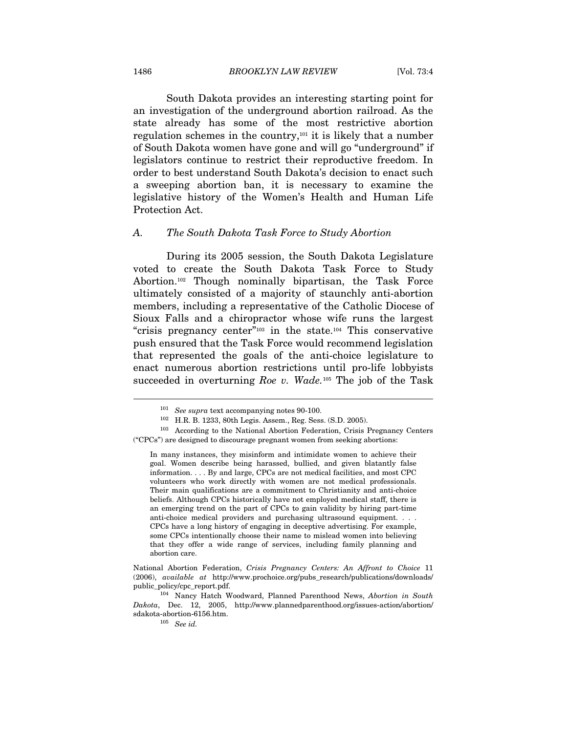South Dakota provides an interesting starting point for an investigation of the underground abortion railroad. As the state already has some of the most restrictive abortion regulation schemes in the country,101 it is likely that a number of South Dakota women have gone and will go "underground" if legislators continue to restrict their reproductive freedom. In order to best understand South Dakota's decision to enact such a sweeping abortion ban, it is necessary to examine the legislative history of the Women's Health and Human Life Protection Act.

#### A. The South Dakota Task Force to Study Abortion

During its 2005 session, the South Dakota Legislature voted to create the South Dakota Task Force to Study Abortion.102 Though nominally bipartisan, the Task Force ultimately consisted of a majority of staunchly anti-abortion members, including a representative of the Catholic Diocese of Sioux Falls and a chiropractor whose wife runs the largest "crisis pregnancy center"103 in the state.104 This conservative push ensured that the Task Force would recommend legislation that represented the goals of the anti-choice legislature to enact numerous abortion restrictions until pro-life lobbyists succeeded in overturning Roe v. Wade.<sup>105</sup> The job of the Task

<sup>&</sup>lt;sup>101</sup> See supra text accompanying notes 90-100.<br><sup>102</sup> H.R. B. 1233, 80th Legis. Assem., Reg. Sess. (S.D. 2005).

 <sup>103</sup> According to the National Abortion Federation, Crisis Pregnancy Centers ("CPCs") are designed to discourage pregnant women from seeking abortions:

In many instances, they misinform and intimidate women to achieve their goal. Women describe being harassed, bullied, and given blatantly false information. . . . By and large, CPCs are not medical facilities, and most CPC volunteers who work directly with women are not medical professionals. Their main qualifications are a commitment to Christianity and anti-choice beliefs. Although CPCs historically have not employed medical staff, there is an emerging trend on the part of CPCs to gain validity by hiring part-time anti-choice medical providers and purchasing ultrasound equipment. . . . CPCs have a long history of engaging in deceptive advertising. For example, some CPCs intentionally choose their name to mislead women into believing that they offer a wide range of services, including family planning and abortion care.

National Abortion Federation, Crisis Pregnancy Centers: An Affront to Choice 11 (2006), available at http://www.prochoice.org/pubs\_research/publications/downloads/ public\_policy/cpc\_report.pdf.

<sup>&</sup>lt;sup>104</sup> Nancy Hatch Woodward, Planned Parenthood News, Abortion in South Dakota, Dec. 12, 2005, http://www.plannedparenthood.org/issues-action/abortion/ sdakota-abortion-6156.htm.

 $105$  See id.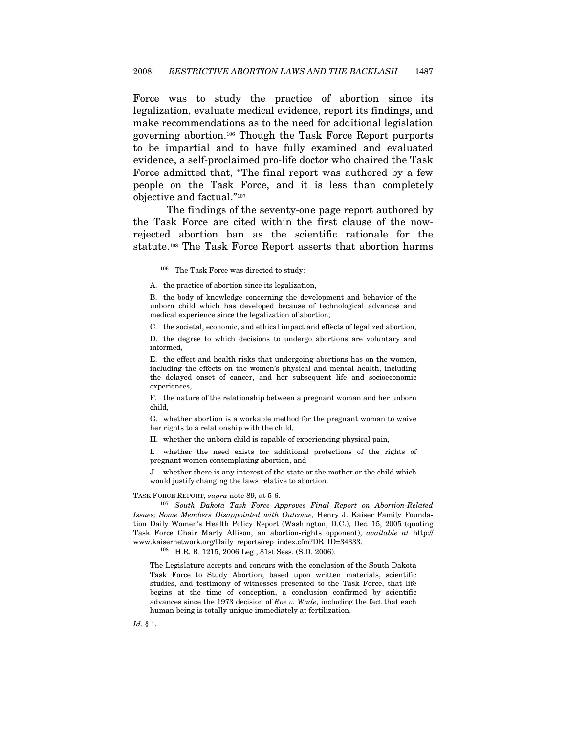Force was to study the practice of abortion since its legalization, evaluate medical evidence, report its findings, and make recommendations as to the need for additional legislation governing abortion.106 Though the Task Force Report purports to be impartial and to have fully examined and evaluated evidence, a self-proclaimed pro-life doctor who chaired the Task Force admitted that, "The final report was authored by a few people on the Task Force, and it is less than completely objective and factual."107

The findings of the seventy-one page report authored by the Task Force are cited within the first clause of the nowrejected abortion ban as the scientific rationale for the statute.108 The Task Force Report asserts that abortion harms

106 The Task Force was directed to study:

A. the practice of abortion since its legalization,

B. the body of knowledge concerning the development and behavior of the unborn child which has developed because of technological advances and medical experience since the legalization of abortion,

C. the societal, economic, and ethical impact and effects of legalized abortion,

D. the degree to which decisions to undergo abortions are voluntary and informed,

E. the effect and health risks that undergoing abortions has on the women, including the effects on the women's physical and mental health, including the delayed onset of cancer, and her subsequent life and socioeconomic experiences,

F. the nature of the relationship between a pregnant woman and her unborn child,

G. whether abortion is a workable method for the pregnant woman to waive her rights to a relationship with the child,

H. whether the unborn child is capable of experiencing physical pain,

I. whether the need exists for additional protections of the rights of pregnant women contemplating abortion, and

J. whether there is any interest of the state or the mother or the child which would justify changing the laws relative to abortion.

TASK FORCE REPORT, supra note 89, at 5-6.<br><sup>107</sup> South Dakota Task Force Approves Final Report on Abortion-Related Issues; Some Members Disappointed with Outcome, Henry J. Kaiser Family Foundation Daily Women's Health Policy Report (Washington, D.C.), Dec. 15, 2005 (quoting Task Force Chair Marty Allison, an abortion-rights opponent), available at http:// www.kaisernetwork.org/Daily\_reports/rep\_index.cfm?DR\_ID=34333. 108 H.R. B. 1215, 2006 Leg., 81st Sess. (S.D. 2006).

The Legislature accepts and concurs with the conclusion of the South Dakota Task Force to Study Abortion, based upon written materials, scientific studies, and testimony of witnesses presented to the Task Force, that life begins at the time of conception, a conclusion confirmed by scientific advances since the 1973 decision of Roe v. Wade, including the fact that each human being is totally unique immediately at fertilization.

Id. § 1.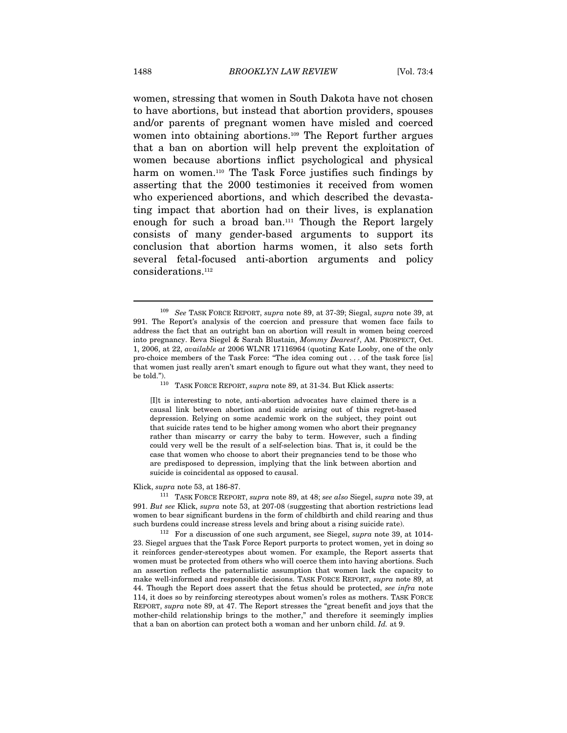women, stressing that women in South Dakota have not chosen to have abortions, but instead that abortion providers, spouses and/or parents of pregnant women have misled and coerced women into obtaining abortions.109 The Report further argues that a ban on abortion will help prevent the exploitation of women because abortions inflict psychological and physical harm on women.<sup>110</sup> The Task Force justifies such findings by asserting that the 2000 testimonies it received from women who experienced abortions, and which described the devastating impact that abortion had on their lives, is explanation enough for such a broad ban.111 Though the Report largely consists of many gender-based arguments to support its conclusion that abortion harms women, it also sets forth several fetal-focused anti-abortion arguments and policy considerations.112

110 TASK FORCE REPORT, supra note 89, at 31-34. But Klick asserts:

[I]t is interesting to note, anti-abortion advocates have claimed there is a causal link between abortion and suicide arising out of this regret-based depression. Relying on some academic work on the subject, they point out that suicide rates tend to be higher among women who abort their pregnancy rather than miscarry or carry the baby to term. However, such a finding could very well be the result of a self-selection bias. That is, it could be the case that women who choose to abort their pregnancies tend to be those who are predisposed to depression, implying that the link between abortion and suicide is coincidental as opposed to causal.

Klick, supra note 53, at 186-87.  $\frac{111}{111}$  TASK FORCE REPORT, supra note 89, at 48; see also Siegel, supra note 39, at 991. But see Klick, supra note 53, at 207-08 (suggesting that abortion restrictions lead women to bear significant burdens in the form of childbirth and child rearing and thus such burdens could increase stress levels and bring about a rising suicide rate).<br><sup>112</sup> For a discussion of one such argument, see Siegel, *supra* note 39, at 1014-

23. Siegel argues that the Task Force Report purports to protect women, yet in doing so it reinforces gender-stereotypes about women. For example, the Report asserts that women must be protected from others who will coerce them into having abortions. Such an assertion reflects the paternalistic assumption that women lack the capacity to make well-informed and responsible decisions. TASK FORCE REPORT, supra note 89, at 44. Though the Report does assert that the fetus should be protected, see infra note 114, it does so by reinforcing stereotypes about women's roles as mothers. TASK FORCE REPORT, supra note 89, at 47. The Report stresses the "great benefit and joys that the mother-child relationship brings to the mother," and therefore it seemingly implies that a ban on abortion can protect both a woman and her unborn child. Id. at 9.

<sup>&</sup>lt;sup>109</sup> See TASK FORCE REPORT, supra note 89, at 37-39; Siegal, supra note 39, at 991. The Report's analysis of the coercion and pressure that women face fails to address the fact that an outright ban on abortion will result in women being coerced into pregnancy. Reva Siegel & Sarah Blustain, Mommy Dearest?, AM. PROSPECT, Oct. 1, 2006, at 22, available at 2006 WLNR 17116964 (quoting Kate Looby, one of the only pro-choice members of the Task Force: "The idea coming out . . . of the task force [is] that women just really aren't smart enough to figure out what they want, they need to be told.").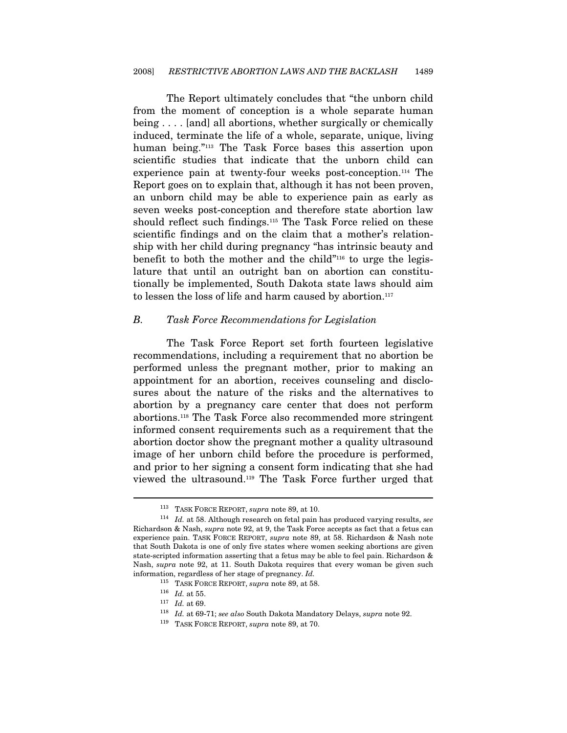The Report ultimately concludes that "the unborn child from the moment of conception is a whole separate human being . . . . [and] all abortions, whether surgically or chemically induced, terminate the life of a whole, separate, unique, living human being."113 The Task Force bases this assertion upon scientific studies that indicate that the unborn child can experience pain at twenty-four weeks post-conception.114 The Report goes on to explain that, although it has not been proven, an unborn child may be able to experience pain as early as seven weeks post-conception and therefore state abortion law should reflect such findings.115 The Task Force relied on these scientific findings and on the claim that a mother's relationship with her child during pregnancy "has intrinsic beauty and benefit to both the mother and the child"<sup>116</sup> to urge the legislature that until an outright ban on abortion can constitutionally be implemented, South Dakota state laws should aim to lessen the loss of life and harm caused by abortion.117

#### B. Task Force Recommendations for Legislation

The Task Force Report set forth fourteen legislative recommendations, including a requirement that no abortion be performed unless the pregnant mother, prior to making an appointment for an abortion, receives counseling and disclosures about the nature of the risks and the alternatives to abortion by a pregnancy care center that does not perform abortions.118 The Task Force also recommended more stringent informed consent requirements such as a requirement that the abortion doctor show the pregnant mother a quality ultrasound image of her unborn child before the procedure is performed, and prior to her signing a consent form indicating that she had viewed the ultrasound.119 The Task Force further urged that

<sup>&</sup>lt;sup>113</sup> TASK FORCE REPORT, supra note 89, at 10.<br><sup>114</sup> Id. at 58. Although research on fetal pain has produced varying results, see Richardson & Nash, supra note 92, at 9, the Task Force accepts as fact that a fetus can experience pain. TASK FORCE REPORT, supra note 89, at 58. Richardson & Nash note that South Dakota is one of only five states where women seeking abortions are given state-scripted information asserting that a fetus may be able to feel pain. Richardson & Nash, supra note 92, at 11. South Dakota requires that every woman be given such % information, regardless of her stage of pregnancy.  $Id$ .<br>
<sup>115</sup> TASK FORCE REPORT, *supra* note 89, at 58.<br>
<sup>116</sup>  $Id$ . at 55.<br>
<sup>117</sup>  $Id$ . at 69.<br>
<sup>117</sup>  $Id$ . at 69-71; *see also* South Dakota Mandatory Delays, *supra* not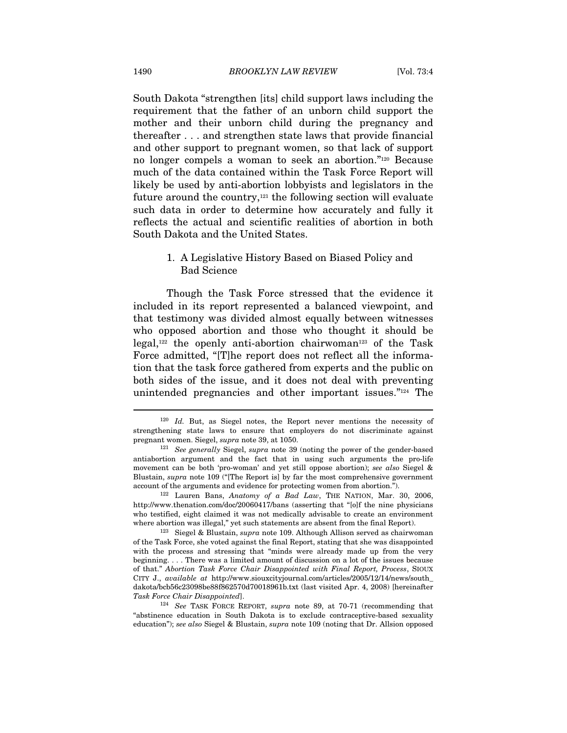South Dakota "strengthen [its] child support laws including the requirement that the father of an unborn child support the mother and their unborn child during the pregnancy and thereafter . . . and strengthen state laws that provide financial and other support to pregnant women, so that lack of support no longer compels a woman to seek an abortion."120 Because much of the data contained within the Task Force Report will likely be used by anti-abortion lobbyists and legislators in the future around the country, $121$  the following section will evaluate such data in order to determine how accurately and fully it reflects the actual and scientific realities of abortion in both South Dakota and the United States.

#### 1. A Legislative History Based on Biased Policy and Bad Science

Though the Task Force stressed that the evidence it included in its report represented a balanced viewpoint, and that testimony was divided almost equally between witnesses who opposed abortion and those who thought it should be legal, $122$  the openly anti-abortion chairwoman<sup>123</sup> of the Task Force admitted, "[T]he report does not reflect all the information that the task force gathered from experts and the public on both sides of the issue, and it does not deal with preventing unintended pregnancies and other important issues."124 The

<sup>&</sup>lt;sup>120</sup> Id. But, as Siegel notes, the Report never mentions the necessity of strengthening state laws to ensure that employers do not discriminate against pregnant women. Siegel, supra note 39, at 1050.

 $121$  See generally Siegel, supra note 39 (noting the power of the gender-based antiabortion argument and the fact that in using such arguments the pro-life movement can be both 'pro-woman' and yet still oppose abortion); see also Siegel & Blustain, supra note 109 ("[The Report is] by far the most comprehensive government account of the arguments and evidence for protecting women from abortion.").<br><sup>122</sup> Lauren Bans, Anatomy of a Bad Law, THE NATION, Mar. 30, 2006,

http://www.thenation.com/doc/20060417/bans (asserting that "[o]f the nine physicians who testified, eight claimed it was not medically advisable to create an environment where abortion was illegal," yet such statements are absent from the final Report).<br><sup>123</sup> Siegel & Blustain, *supra* note 109. Although Allison served as chairwoman

of the Task Force, she voted against the final Report, stating that she was disappointed with the process and stressing that "minds were already made up from the very beginning. . . . There was a limited amount of discussion on a lot of the issues because of that." Abortion Task Force Chair Disappointed with Final Report, Process, SIOUX CITY J., available at http://www.siouxcityjournal.com/articles/2005/12/14/news/south\_ dakota/bcb56c23098be88f862570d70018961b.txt (last visited Apr. 4, 2008) [hereinafter Task Force Chair Disappointed].<br><sup>124</sup> See TASK FORCE REPORT, supra note 89, at 70-71 (recommending that

<sup>&</sup>quot;abstinence education in South Dakota is to exclude contraceptive-based sexuality education"); see also Siegel & Blustain, supra note 109 (noting that Dr. Allsion opposed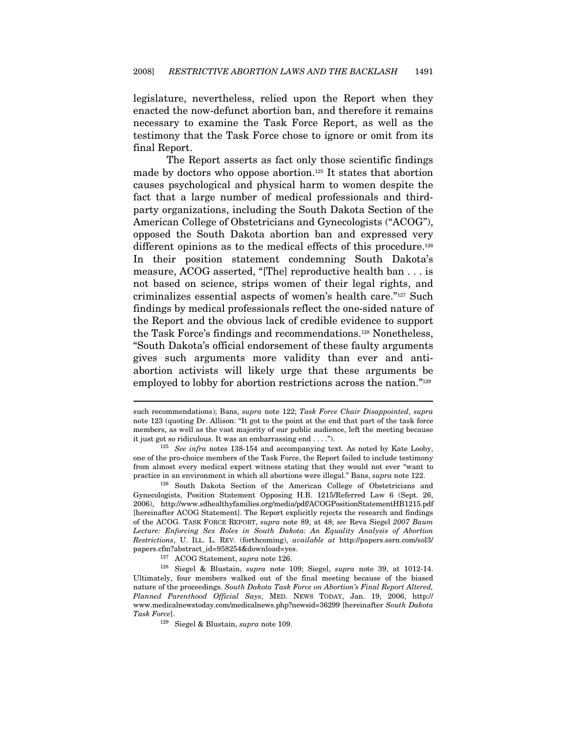legislature, nevertheless, relied upon the Report when they enacted the now-defunct abortion ban, and therefore it remains necessary to examine the Task Force Report, as well as the testimony that the Task Force chose to ignore or omit from its final Report.

The Report asserts as fact only those scientific findings made by doctors who oppose abortion.<sup>125</sup> It states that abortion causes psychological and physical harm to women despite the fact that a large number of medical professionals and thirdparty organizations, including the South Dakota Section of the American College of Obstetricians and Gynecologists ("ACOG"), opposed the South Dakota abortion ban and expressed very different opinions as to the medical effects of this procedure.<sup>126</sup> In their position statement condemning South Dakota's measure, ACOG asserted, "[The] reproductive health ban . . . is not based on science, strips women of their legal rights, and criminalizes essential aspects of women's health care."127 Such findings by medical professionals reflect the one-sided nature of the Report and the obvious lack of credible evidence to support the Task Force's findings and recommendations.128 Nonetheless, "South Dakota's official endorsement of these faulty arguments gives such arguments more validity than ever and antiabortion activists will likely urge that these arguments be employed to lobby for abortion restrictions across the nation."<sup>129</sup>

such recommendations); Bans, supra note 122; Task Force Chair Disappointed, supra note 123 (quoting Dr. Allison: "It got to the point at the end that part of the task force members, as well as the vast majority of our public audience, left the meeting because

it just got so ridiculous. It was an embarrassing end . . . .").<br><sup>125</sup> See infra notes 138-154 and accompanying text. As noted by Kate Looby, one of the pro-choice members of the Task Force, the Report failed to include testimony from almost every medical expert witness stating that they would not ever "want to practice in an environment in which all abortions were illegal." Bans, *supra* note 122.<br><sup>126</sup> South Dakota Section of the American College of Obstetricians and

Gynecologists, Position Statement Opposing H.B. 1215/Referred Law 6 (Sept. 26, 2006), http://www.sdhealthyfamilies.org/media/pdf/ACOGPositionStatementHB1215.pdf [hereinafter ACOG Statement]. The Report explicitly rejects the research and findings of the ACOG. TASK FORCE REPORT, supra note 89, at 48; see Reva Siegel 2007 Baum Lecture: Enforcing Sex Roles in South Dakota: An Equality Analysis of Abortion Restrictions, U. ILL. L. REV. (forthcoming), available at http://papers.ssrn.com/sol3/ papers.cfm?abstract\_id=958254&download=yes.<br><sup>127</sup> ACOG Statement, *supra* note 126.<br><sup>128</sup> Siegel & Blustain, *supra* note 109; Siegel, *supra* note 39, at 1012-14.

Ultimately, four members walked out of the final meeting because of the biased nature of the proceedings. South Dakota Task Force on Abortion's Final Report Altered, Planned Parenthood Official Says, MED. NEWS TODAY, Jan. 19, 2006, http:// www.medicalnewstoday.com/medicalnews.php?newsid=36299 [hereinafter South Dakota  $\emph{Task Force}.$ 129 Siegel & Blustain, supra note 109.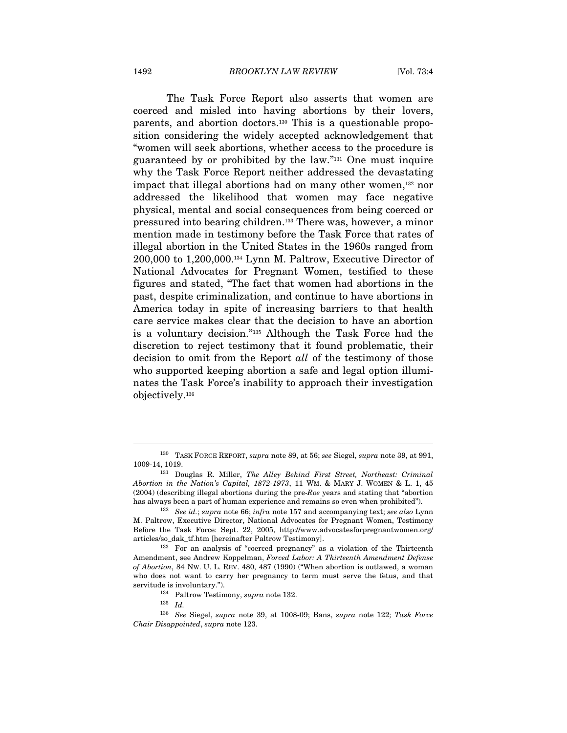The Task Force Report also asserts that women are coerced and misled into having abortions by their lovers, parents, and abortion doctors.130 This is a questionable proposition considering the widely accepted acknowledgement that "women will seek abortions, whether access to the procedure is guaranteed by or prohibited by the law."131 One must inquire why the Task Force Report neither addressed the devastating impact that illegal abortions had on many other women,<sup>132</sup> nor addressed the likelihood that women may face negative physical, mental and social consequences from being coerced or pressured into bearing children.133 There was, however, a minor mention made in testimony before the Task Force that rates of illegal abortion in the United States in the 1960s ranged from 200,000 to 1,200,000.134 Lynn M. Paltrow, Executive Director of National Advocates for Pregnant Women, testified to these figures and stated, "The fact that women had abortions in the past, despite criminalization, and continue to have abortions in America today in spite of increasing barriers to that health care service makes clear that the decision to have an abortion is a voluntary decision."135 Although the Task Force had the discretion to reject testimony that it found problematic, their decision to omit from the Report all of the testimony of those who supported keeping abortion a safe and legal option illuminates the Task Force's inability to approach their investigation objectively.136

<sup>&</sup>lt;sup>130</sup> TASK FORCE REPORT, supra note 89, at 56; see Siegel, supra note 39, at 991, 1009-14, 1019.<br><sup>131</sup> Douglas R. Miller, *The Alley Behind First Street, Northeast: Criminal* 

Abortion in the Nation's Capital, 1872-1973, 11 WM. & MARY J. WOMEN & L. 1, 45 (2004) (describing illegal abortions during the pre-Roe years and stating that "abortion has always been a part of human experience and remains so even when prohibited").<br><sup>132</sup> See id.; supra note 66; infra note 157 and accompanying text; see also Lynn

M. Paltrow, Executive Director, National Advocates for Pregnant Women, Testimony Before the Task Force: Sept. 22, 2005, http://www.advocatesforpregnantwomen.org/ articles/so\_dak\_tf.htm [hereinafter Paltrow Testimony]. 133 For an analysis of "coerced pregnancy" as a violation of the Thirteenth

Amendment, see Andrew Koppelman, Forced Labor: A Thirteenth Amendment Defense of Abortion, 84 NW. U. L. REV. 480, 487 (1990) ("When abortion is outlawed, a woman who does not want to carry her pregnancy to term must serve the fetus, and that % servitude is involuntary."). 134 Paltrow Testimony, *supra* note 132.<br>135  $I$ d.

<sup>136</sup> See Siegel, supra note 39, at 1008-09; Bans, supra note 122; Task Force Chair Disappointed, supra note 123.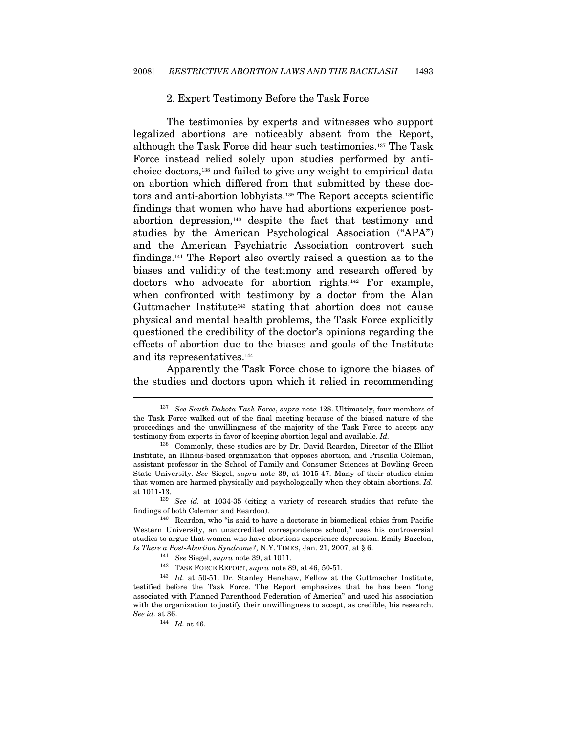#### 2. Expert Testimony Before the Task Force

The testimonies by experts and witnesses who support legalized abortions are noticeably absent from the Report, although the Task Force did hear such testimonies.137 The Task Force instead relied solely upon studies performed by antichoice doctors,138 and failed to give any weight to empirical data on abortion which differed from that submitted by these doctors and anti-abortion lobbyists.139 The Report accepts scientific findings that women who have had abortions experience postabortion depression,140 despite the fact that testimony and studies by the American Psychological Association ("APA") and the American Psychiatric Association controvert such findings.141 The Report also overtly raised a question as to the biases and validity of the testimony and research offered by doctors who advocate for abortion rights.142 For example, when confronted with testimony by a doctor from the Alan Guttmacher Institute<sup>143</sup> stating that abortion does not cause physical and mental health problems, the Task Force explicitly questioned the credibility of the doctor's opinions regarding the effects of abortion due to the biases and goals of the Institute and its representatives.144

Apparently the Task Force chose to ignore the biases of the studies and doctors upon which it relied in recommending

 $137$  See South Dakota Task Force, supra note 128. Ultimately, four members of the Task Force walked out of the final meeting because of the biased nature of the proceedings and the unwillingness of the majority of the Task Force to accept any testimony from experts in favor of keeping abortion legal and available. Id.

<sup>138</sup> Commonly, these studies are by Dr. David Reardon, Director of the Elliot Institute, an Illinois-based organization that opposes abortion, and Priscilla Coleman, assistant professor in the School of Family and Consumer Sciences at Bowling Green State University. See Siegel, supra note 39, at 1015-47. Many of their studies claim that women are harmed physically and psychologically when they obtain abortions. Id. at 1011-13. 139 See id. at 1034-35 (citing a variety of research studies that refute the

findings of both Coleman and Reardon).<br><sup>140</sup> Reardon, who "is said to have a doctorate in biomedical ethics from Pacific

Western University, an unaccredited correspondence school," uses his controversial studies to argue that women who have abortions experience depression. Emily Bazelon, *Is There a Post-Abortion Syndrome?*, N.Y. TIMES, Jan. 21, 2007, at § 6.<br><sup>141</sup> *See* Siegel, *supra* note 39, at 1011.<br><sup>142</sup> TASK FORCE REPORT, *supra* note 89, at 46, 50-51.<br><sup>143</sup> *Id.* at 50-51. Dr. Stanley Henshaw, Fel

testified before the Task Force. The Report emphasizes that he has been "long associated with Planned Parenthood Federation of America" and used his association with the organization to justify their unwillingness to accept, as credible, his research. See id. at 36.

 $144$  *Id.* at 46.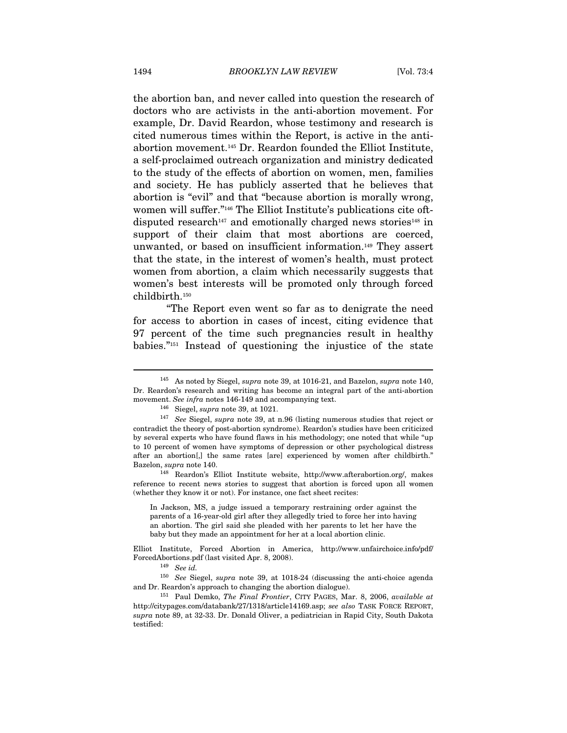the abortion ban, and never called into question the research of doctors who are activists in the anti-abortion movement. For example, Dr. David Reardon, whose testimony and research is cited numerous times within the Report, is active in the antiabortion movement.145 Dr. Reardon founded the Elliot Institute, a self-proclaimed outreach organization and ministry dedicated to the study of the effects of abortion on women, men, families and society. He has publicly asserted that he believes that abortion is "evil" and that "because abortion is morally wrong, women will suffer."146 The Elliot Institute's publications cite oftdisputed research<sup>147</sup> and emotionally charged news stories<sup>148</sup> in support of their claim that most abortions are coerced, unwanted, or based on insufficient information.149 They assert that the state, in the interest of women's health, must protect women from abortion, a claim which necessarily suggests that women's best interests will be promoted only through forced childbirth.150

"The Report even went so far as to denigrate the need for access to abortion in cases of incest, citing evidence that 97 percent of the time such pregnancies result in healthy babies."151 Instead of questioning the injustice of the state

reference to recent news stories to suggest that abortion is forced upon all women (whether they know it or not). For instance, one fact sheet recites:

In Jackson, MS, a judge issued a temporary restraining order against the parents of a 16-year-old girl after they allegedly tried to force her into having an abortion. The girl said she pleaded with her parents to let her have the baby but they made an appointment for her at a local abortion clinic.

Elliot Institute, Forced Abortion in America, http://www.unfairchoice.info/pdf/ ForcedAbortions.pdf (last visited Apr. 8, 2008).<br><sup>149</sup> See id.<br><sup>150</sup> See Siegel, supra note 39, at 1018-24 (discussing the anti-choice agenda

and Dr. Reardon's approach to changing the abortion dialogue).<br><sup>151</sup> Paul Demko, *The Final Frontier*, CITY PAGES, Mar. 8, 2006, *available at* 

<sup>&</sup>lt;sup>145</sup> As noted by Siegel, *supra* note 39, at 1016-21, and Bazelon, *supra* note 140, Dr. Reardon's research and writing has become an integral part of the anti-abortion movement. See infra notes 146-149 and accompanying text.<br><sup>146</sup> Siegel, supra note 39, at 1021.<br><sup>147</sup> See Siegel, supra note 39, at n.96 (listing numerous studies that reject or

contradict the theory of post-abortion syndrome). Reardon's studies have been criticized by several experts who have found flaws in his methodology; one noted that while "up to 10 percent of women have symptoms of depression or other psychological distress after an abortion[,] the same rates [are] experienced by women after childbirth." Bazelon, *supra* note 140.<br><sup>148</sup> Reardon's Elliot Institute website, http://www.afterabortion.org/, makes

http://citypages.com/databank/27/1318/article14169.asp; see also TASK FORCE REPORT, supra note 89, at 32-33. Dr. Donald Oliver, a pediatrician in Rapid City, South Dakota testified: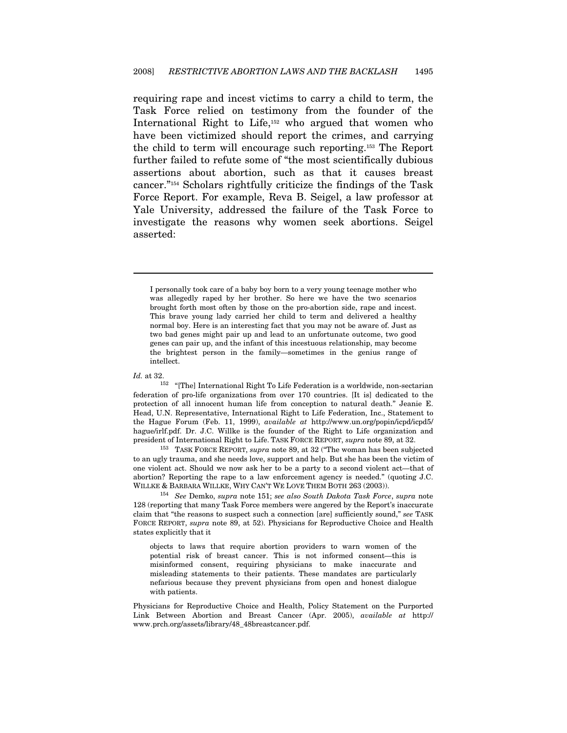requiring rape and incest victims to carry a child to term, the Task Force relied on testimony from the founder of the International Right to Life,<sup>152</sup> who argued that women who have been victimized should report the crimes, and carrying the child to term will encourage such reporting.153 The Report further failed to refute some of "the most scientifically dubious assertions about abortion, such as that it causes breast cancer."154 Scholars rightfully criticize the findings of the Task Force Report. For example, Reva B. Seigel, a law professor at Yale University, addressed the failure of the Task Force to investigate the reasons why women seek abortions. Seigel asserted:

I personally took care of a baby boy born to a very young teenage mother who was allegedly raped by her brother. So here we have the two scenarios brought forth most often by those on the pro-abortion side, rape and incest. This brave young lady carried her child to term and delivered a healthy normal boy. Here is an interesting fact that you may not be aware of. Just as two bad genes might pair up and lead to an unfortunate outcome, two good genes can pair up, and the infant of this incestuous relationship, may become the brightest person in the family—sometimes in the genius range of intellect.

 $\overline{a}$ 

to an ugly trauma, and she needs love, support and help. But she has been the victim of one violent act. Should we now ask her to be a party to a second violent act—that of abortion? Reporting the rape to a law enforcement agency is needed." (quoting J.C. WILLKE & BARBARA WILLKE, WHY CAN'T WE LOVE THEM BOTH 263 (2003)).<br><sup>154</sup> See Demko, supra note 151; see also South Dakota Task Force, supra note

128 (reporting that many Task Force members were angered by the Report's inaccurate claim that "the reasons to suspect such a connection [are] sufficiently sound," see TASK FORCE REPORT, supra note 89, at 52). Physicians for Reproductive Choice and Health states explicitly that it

objects to laws that require abortion providers to warn women of the potential risk of breast cancer. This is not informed consent—this is misinformed consent, requiring physicians to make inaccurate and misleading statements to their patients. These mandates are particularly nefarious because they prevent physicians from open and honest dialogue with patients.

Physicians for Reproductive Choice and Health, Policy Statement on the Purported Link Between Abortion and Breast Cancer (Apr. 2005), available at http:// www.prch.org/assets/library/48\_48breastcancer.pdf.

*Id.* at 32. <sup>152</sup> "[The] International Right To Life Federation is a worldwide, non-sectarian federation of pro-life organizations from over 170 countries. [It is] dedicated to the protection of all innocent human life from conception to natural death." Jeanie E. Head, U.N. Representative, International Right to Life Federation, Inc., Statement to the Hague Forum (Feb. 11, 1999), available at http://www.un.org/popin/icpd/icpd5/ hague/irlf.pdf. Dr. J.C. Willke is the founder of the Right to Life organization and president of International Right to Life. TASK FORCE REPORT, *supra* note 89, at 32.<br><sup>153</sup> TASK FORCE REPORT, *supra* note 89, at 32 ("The woman has been subjected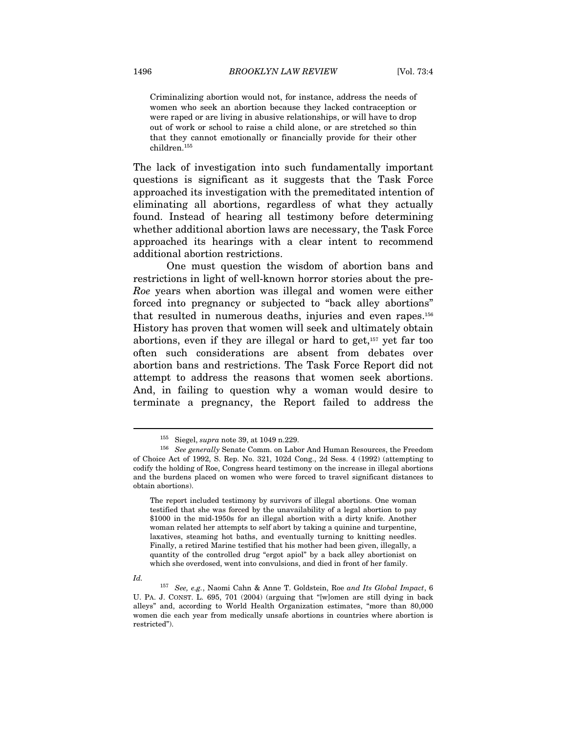Criminalizing abortion would not, for instance, address the needs of women who seek an abortion because they lacked contraception or were raped or are living in abusive relationships, or will have to drop out of work or school to raise a child alone, or are stretched so thin that they cannot emotionally or financially provide for their other children.155

The lack of investigation into such fundamentally important questions is significant as it suggests that the Task Force approached its investigation with the premeditated intention of eliminating all abortions, regardless of what they actually found. Instead of hearing all testimony before determining whether additional abortion laws are necessary, the Task Force approached its hearings with a clear intent to recommend additional abortion restrictions.

One must question the wisdom of abortion bans and restrictions in light of well-known horror stories about the pre-Roe years when abortion was illegal and women were either forced into pregnancy or subjected to "back alley abortions" that resulted in numerous deaths, injuries and even rapes.156 History has proven that women will seek and ultimately obtain abortions, even if they are illegal or hard to get,157 yet far too often such considerations are absent from debates over abortion bans and restrictions. The Task Force Report did not attempt to address the reasons that women seek abortions. And, in failing to question why a woman would desire to terminate a pregnancy, the Report failed to address the

<sup>&</sup>lt;sup>155</sup> Siegel, *supra* note 39, at 1049 n.229.<br><sup>156</sup> See generally Senate Comm. on Labor And Human Resources, the Freedom of Choice Act of 1992, S. Rep. No. 321, 102d Cong., 2d Sess. 4 (1992) (attempting to codify the holding of Roe, Congress heard testimony on the increase in illegal abortions and the burdens placed on women who were forced to travel significant distances to obtain abortions).

The report included testimony by survivors of illegal abortions. One woman testified that she was forced by the unavailability of a legal abortion to pay \$1000 in the mid-1950s for an illegal abortion with a dirty knife. Another woman related her attempts to self abort by taking a quinine and turpentine, laxatives, steaming hot baths, and eventually turning to knitting needles. Finally, a retired Marine testified that his mother had been given, illegally, a quantity of the controlled drug "ergot apiol" by a back alley abortionist on which she overdosed, went into convulsions, and died in front of her family.

Id. 157 See, e.g., Naomi Cahn & Anne T. Goldstein, Roe and Its Global Impact, 6 U. PA. J. CONST. L. 695, 701 (2004) (arguing that "[w]omen are still dying in back alleys" and, according to World Health Organization estimates, "more than 80,000 women die each year from medically unsafe abortions in countries where abortion is restricted").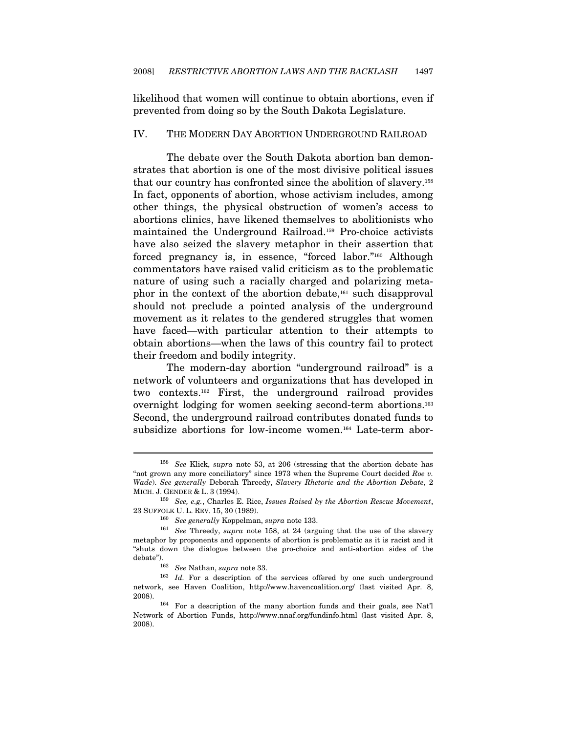likelihood that women will continue to obtain abortions, even if prevented from doing so by the South Dakota Legislature.

#### IV. THE MODERN DAY ABORTION UNDERGROUND RAILROAD

The debate over the South Dakota abortion ban demonstrates that abortion is one of the most divisive political issues that our country has confronted since the abolition of slavery.158 In fact, opponents of abortion, whose activism includes, among other things, the physical obstruction of women's access to abortions clinics, have likened themselves to abolitionists who maintained the Underground Railroad.159 Pro-choice activists have also seized the slavery metaphor in their assertion that forced pregnancy is, in essence, "forced labor."160 Although commentators have raised valid criticism as to the problematic nature of using such a racially charged and polarizing metaphor in the context of the abortion debate,161 such disapproval should not preclude a pointed analysis of the underground movement as it relates to the gendered struggles that women have faced—with particular attention to their attempts to obtain abortions—when the laws of this country fail to protect their freedom and bodily integrity.

The modern-day abortion "underground railroad" is a network of volunteers and organizations that has developed in two contexts.162 First, the underground railroad provides overnight lodging for women seeking second-term abortions.163 Second, the underground railroad contributes donated funds to subsidize abortions for low-income women.164 Late-term abor-

<sup>&</sup>lt;sup>158</sup> See Klick, supra note 53, at 206 (stressing that the abortion debate has "not grown any more conciliatory" since 1973 when the Supreme Court decided Roe v. Wade). See generally Deborah Threedy, Slavery Rhetoric and the Abortion Debate, 2 MICH. J. GENDER & L. 3 (1994).<br><sup>159</sup> See, e.g., Charles E. Rice, *Issues Raised by the Abortion Rescue Movement*,

<sup>23</sup> SUFFOLK U. L. REV. 15, 30 (1989).<br><sup>160</sup> See generally Koppelman, supra note 133.<br><sup>161</sup> See Threedy, supra note 158, at 24 (arguing that the use of the slavery

metaphor by proponents and opponents of abortion is problematic as it is racist and it "shuts down the dialogue between the pro-choice and anti-abortion sides of the debate").<br><sup>162</sup> See Nathan, supra note 33.<br><sup>163</sup> Id. For a description of the services offered by one such underground

network, see Haven Coalition, http://www.havencoalition.org/ (last visited Apr. 8, 2008). 164 For a description of the many abortion funds and their goals, see Nat'l

Network of Abortion Funds, http://www.nnaf.org/fundinfo.html (last visited Apr. 8, 2008).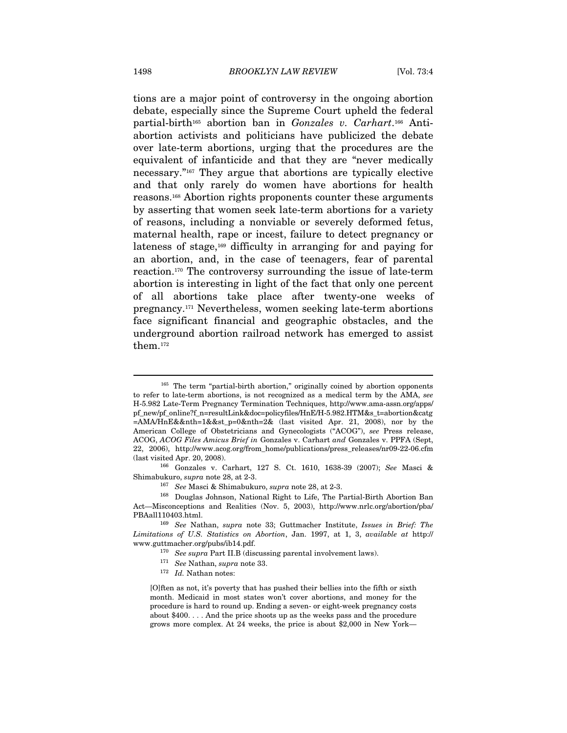tions are a major point of controversy in the ongoing abortion debate, especially since the Supreme Court upheld the federal partial-birth<sup>165</sup> abortion ban in Gonzales v. Carhart.<sup>166</sup> Antiabortion activists and politicians have publicized the debate over late-term abortions, urging that the procedures are the equivalent of infanticide and that they are "never medically necessary."167 They argue that abortions are typically elective and that only rarely do women have abortions for health reasons.168 Abortion rights proponents counter these arguments by asserting that women seek late-term abortions for a variety of reasons, including a nonviable or severely deformed fetus, maternal health, rape or incest, failure to detect pregnancy or lateness of stage,<sup>169</sup> difficulty in arranging for and paying for an abortion, and, in the case of teenagers, fear of parental reaction.170 The controversy surrounding the issue of late-term abortion is interesting in light of the fact that only one percent of all abortions take place after twenty-one weeks of pregnancy.171 Nevertheless, women seeking late-term abortions face significant financial and geographic obstacles, and the underground abortion railroad network has emerged to assist them.172

<sup>&</sup>lt;sup>165</sup> The term "partial-birth abortion," originally coined by abortion opponents to refer to late-term abortions, is not recognized as a medical term by the AMA, see H-5.982 Late-Term Pregnancy Termination Techniques, http://www.ama-assn.org/apps/ pf\_new/pf\_online?f\_n=resultLink&doc=policyfiles/HnE/H-5.982.HTM&s\_t=abortion&catg =AMA/HnE&&nth=1&&st\_p=0&nth=2& (last visited Apr. 21, 2008), nor by the American College of Obstetricians and Gynecologists ("ACOG"), see Press release, ACOG, ACOG Files Amicus Brief in Gonzales v. Carhart and Gonzales v. PPFA (Sept, 22, 2006), http://www.acog.org/from\_home/publications/press\_releases/nr09-22-06.cfm (last visited Apr. 20, 2008).

<sup>166</sup> Gonzales v. Carhart, 127 S. Ct. 1610, 1638-39 (2007); See Masci & Shimabukuro, supra note 28, at 2-3.<br><sup>167</sup> See Masci & Shimabukuro, supra note 28, at 2-3.<br><sup>168</sup> Douglas Johnson, National Right to Life, The Partial-Birth Abortion Ban

Act—Misconceptions and Realities (Nov. 5, 2003), http://www.nrlc.org/abortion/pba/ PBAall110403.html. 169 See Nathan, supra note 33; Guttmacher Institute, Issues in Brief: The

Limitations of U.S. Statistics on Abortion, Jan. 1997, at 1, 3, available at http:// www.guttmacher.org/pubs/ib14.pdf.

<sup>&</sup>lt;sup>170</sup> See supra Part II.B (discussing parental involvement laws). <sup>171</sup> See Nathan, supra note 33. <sup>172</sup> Id. Nathan notes:

<sup>[</sup>O]ften as not, it's poverty that has pushed their bellies into the fifth or sixth month. Medicaid in most states won't cover abortions, and money for the procedure is hard to round up. Ending a seven- or eight-week pregnancy costs about \$400. . . . And the price shoots up as the weeks pass and the procedure grows more complex. At 24 weeks, the price is about \$2,000 in New York—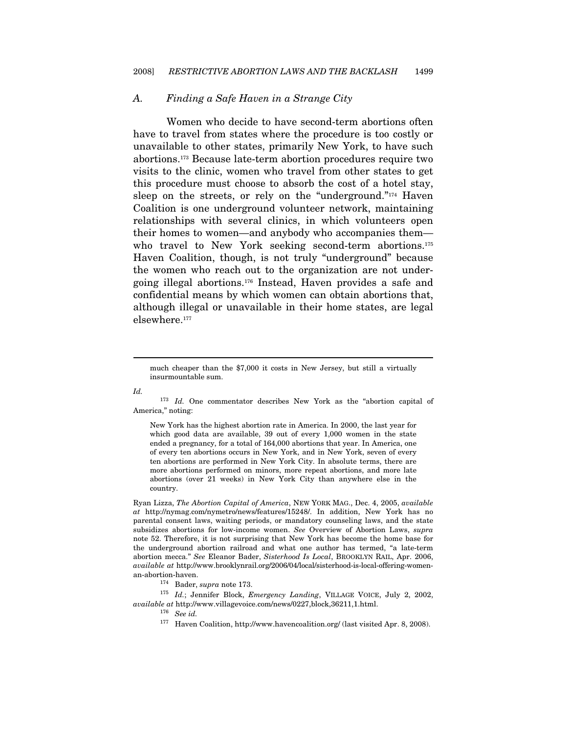#### A. Finding a Safe Haven in a Strange City

Women who decide to have second-term abortions often have to travel from states where the procedure is too costly or unavailable to other states, primarily New York, to have such abortions.173 Because late-term abortion procedures require two visits to the clinic, women who travel from other states to get this procedure must choose to absorb the cost of a hotel stay, sleep on the streets, or rely on the "underground."<sup>174</sup> Haven Coalition is one underground volunteer network, maintaining relationships with several clinics, in which volunteers open their homes to women—and anybody who accompanies them who travel to New York seeking second-term abortions.<sup>175</sup> Haven Coalition, though, is not truly "underground" because the women who reach out to the organization are not undergoing illegal abortions.176 Instead, Haven provides a safe and confidential means by which women can obtain abortions that, although illegal or unavailable in their home states, are legal elsewhere.177

Id.

 $\overline{a}$ 

<sup>173</sup> Id. One commentator describes New York as the "abortion capital of America," noting:

New York has the highest abortion rate in America. In 2000, the last year for which good data are available, 39 out of every 1,000 women in the state ended a pregnancy, for a total of 164,000 abortions that year. In America, one of every ten abortions occurs in New York, and in New York, seven of every ten abortions are performed in New York City. In absolute terms, there are more abortions performed on minors, more repeat abortions, and more late abortions (over 21 weeks) in New York City than anywhere else in the country.

Ryan Lizza, The Abortion Capital of America, NEW YORK MAG., Dec. 4, 2005, available at http://nymag.com/nymetro/news/features/15248/. In addition, New York has no parental consent laws, waiting periods, or mandatory counseling laws, and the state subsidizes abortions for low-income women. See Overview of Abortion Laws, supra note 52. Therefore, it is not surprising that New York has become the home base for the underground abortion railroad and what one author has termed, "a late-term abortion mecca." See Eleanor Bader, Sisterhood Is Local, BROOKLYN RAIL, Apr. 2006, available at http://www.brooklynrail.org/2006/04/local/sisterhood-is-local-offering-womenan-abortion-haven.<br><sup>174</sup> Bader, *supra* note 173.<br><sup>175</sup> Id.; Jennifer Block, Emergency Landing, VILLAGE VOICE, July 2, 2002,

available at http://www.villagevoice.com/news/0227,block,36211,1.html. 176 See id.

much cheaper than the \$7,000 it costs in New Jersey, but still a virtually insurmountable sum.

<sup>177</sup> Haven Coalition, http://www.havencoalition.org/ (last visited Apr. 8, 2008).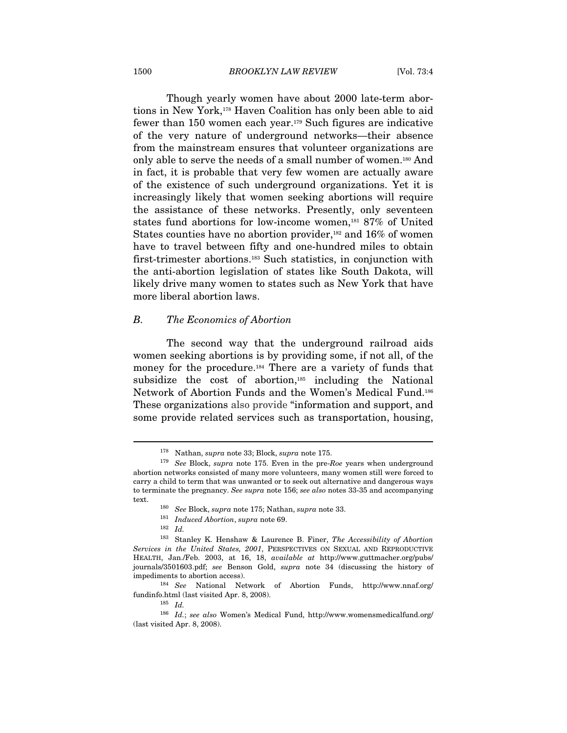Though yearly women have about 2000 late-term abortions in New York,178 Haven Coalition has only been able to aid fewer than 150 women each year.179 Such figures are indicative of the very nature of underground networks—their absence from the mainstream ensures that volunteer organizations are only able to serve the needs of a small number of women.180 And in fact, it is probable that very few women are actually aware of the existence of such underground organizations. Yet it is increasingly likely that women seeking abortions will require the assistance of these networks. Presently, only seventeen states fund abortions for low-income women,181 87% of United States counties have no abortion provider,<sup>182</sup> and  $16\%$  of women have to travel between fifty and one-hundred miles to obtain first-trimester abortions.183 Such statistics, in conjunction with the anti-abortion legislation of states like South Dakota, will likely drive many women to states such as New York that have more liberal abortion laws.

#### B. The Economics of Abortion

The second way that the underground railroad aids women seeking abortions is by providing some, if not all, of the money for the procedure.184 There are a variety of funds that subsidize the cost of abortion,<sup>185</sup> including the National Network of Abortion Funds and the Women's Medical Fund.186 These organizations also provide "information and support, and some provide related services such as transportation, housing,

<sup>&</sup>lt;sup>178</sup> Nathan, *supra* note 33; Block, *supra* note 175.<br><sup>179</sup> See Block, *supra* note 175. Even in the pre-Roe years when underground abortion networks consisted of many more volunteers, many women still were forced to carry a child to term that was unwanted or to seek out alternative and dangerous ways to terminate the pregnancy. See supra note 156; see also notes 33-35 and accompanying text.  $\frac{180}{181}$  See Block, supra note 175; Nathan, supra note 33. 181 Induced Abortion, supra note 69.

<sup>183</sup> Stanley K. Henshaw & Laurence B. Finer, The Accessibility of Abortion Services in the United States, 2001, PERSPECTIVES ON SEXUAL AND REPRODUCTIVE HEALTH, Jan./Feb. 2003, at 16, 18, available at http://www.guttmacher.org/pubs/ journals/3501603.pdf; see Benson Gold, supra note 34 (discussing the history of impediments to abortion access).

<sup>184</sup> See National Network of Abortion Funds, http://www.nnaf.org/ fundinfo.html (last visited Apr. 8, 2008).  $185\;\;Id.$  186  $\;\;Id.$ ; see also Women's Medical Fund, http://www.womensmedicalfund.org/

<sup>(</sup>last visited Apr. 8, 2008).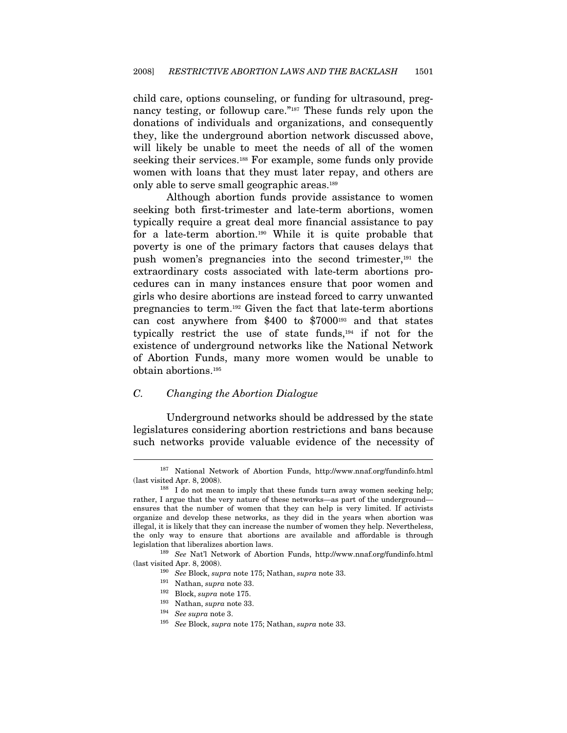child care, options counseling, or funding for ultrasound, pregnancy testing, or followup care."<sup>187</sup> These funds rely upon the donations of individuals and organizations, and consequently they, like the underground abortion network discussed above, will likely be unable to meet the needs of all of the women seeking their services.<sup>188</sup> For example, some funds only provide women with loans that they must later repay, and others are only able to serve small geographic areas.189

Although abortion funds provide assistance to women seeking both first-trimester and late-term abortions, women typically require a great deal more financial assistance to pay for a late-term abortion.190 While it is quite probable that poverty is one of the primary factors that causes delays that push women's pregnancies into the second trimester,191 the extraordinary costs associated with late-term abortions procedures can in many instances ensure that poor women and girls who desire abortions are instead forced to carry unwanted pregnancies to term.192 Given the fact that late-term abortions can cost anywhere from \$400 to \$7000193 and that states typically restrict the use of state funds,194 if not for the existence of underground networks like the National Network of Abortion Funds, many more women would be unable to obtain abortions.195

#### C. Changing the Abortion Dialogue

Underground networks should be addressed by the state legislatures considering abortion restrictions and bans because such networks provide valuable evidence of the necessity of

<sup>187</sup> National Network of Abortion Funds, http://www.nnaf.org/fundinfo.html (last visited Apr. 8, 2008). 188 I do not mean to imply that these funds turn away women seeking help;

rather, I argue that the very nature of these networks—as part of the underground ensures that the number of women that they can help is very limited. If activists organize and develop these networks, as they did in the years when abortion was illegal, it is likely that they can increase the number of women they help. Nevertheless, the only way to ensure that abortions are available and affordable is through legislation that liberalizes abortion laws.  $189\,$  See Nat'l Network of Abortion Funds, http://www.nnaf.org/fundinfo.html

<sup>%) (</sup>last visited Apr. 8, 2008). 190 See Block, supra note 175; Nathan, supra note 33.<br>
191 Nathan, supra note 33.<br>
192 Block, supra note 175.

<sup>&</sup>lt;sup>193</sup> Nathan, *supra* note 33.<br><sup>194</sup> See supra note 3.<br><sup>195</sup> See Block, supra note 175; Nathan, supra note 33.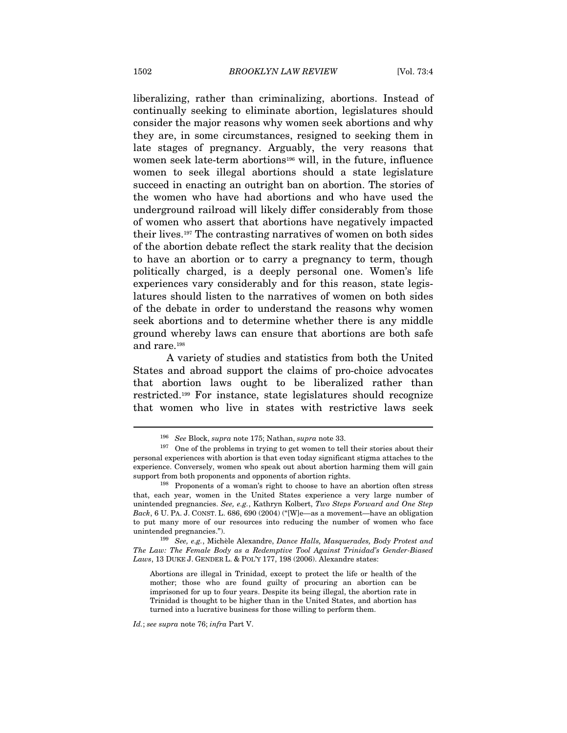liberalizing, rather than criminalizing, abortions. Instead of continually seeking to eliminate abortion, legislatures should consider the major reasons why women seek abortions and why they are, in some circumstances, resigned to seeking them in late stages of pregnancy. Arguably, the very reasons that women seek late-term abortions<sup>196</sup> will, in the future, influence women to seek illegal abortions should a state legislature succeed in enacting an outright ban on abortion. The stories of the women who have had abortions and who have used the underground railroad will likely differ considerably from those of women who assert that abortions have negatively impacted their lives.197 The contrasting narratives of women on both sides of the abortion debate reflect the stark reality that the decision to have an abortion or to carry a pregnancy to term, though politically charged, is a deeply personal one. Women's life experiences vary considerably and for this reason, state legislatures should listen to the narratives of women on both sides of the debate in order to understand the reasons why women seek abortions and to determine whether there is any middle ground whereby laws can ensure that abortions are both safe and rare.198

A variety of studies and statistics from both the United States and abroad support the claims of pro-choice advocates that abortion laws ought to be liberalized rather than restricted.199 For instance, state legislatures should recognize that women who live in states with restrictive laws seek

unintended pregnancies.").<br><sup>199</sup> See, e.g., Michèle Alexandre, Dance Halls, Masquerades, Body Protest and The Law: The Female Body as a Redemptive Tool Against Trinidad's Gender-Biased Laws, 13 DUKE J. GENDER L. & POL'Y 177, 198 (2006). Alexandre states:

Abortions are illegal in Trinidad, except to protect the life or health of the mother; those who are found guilty of procuring an abortion can be imprisoned for up to four years. Despite its being illegal, the abortion rate in Trinidad is thought to be higher than in the United States, and abortion has turned into a lucrative business for those willing to perform them.

Id.; see supra note 76; infra Part V.

<sup>196</sup> See Block, supra note 175; Nathan, supra note 33.

 $197$  One of the problems in trying to get women to tell their stories about their personal experiences with abortion is that even today significant stigma attaches to the experience. Conversely, women who speak out about abortion harming them will gain support from both proponents and opponents of abortion rights.<br><sup>198</sup> Proponents of a woman's right to choose to have an abortion often stress

that, each year, women in the United States experience a very large number of unintended pregnancies. See, e.g., Kathryn Kolbert, Two Steps Forward and One Step Back, 6 U. PA. J. CONST. L. 686, 690 (2004) ("[W]e—as a movement—have an obligation to put many more of our resources into reducing the number of women who face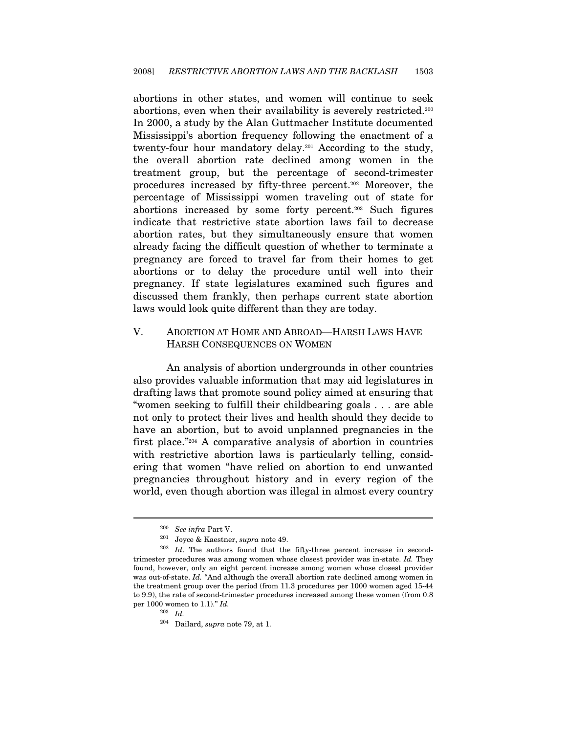abortions in other states, and women will continue to seek abortions, even when their availability is severely restricted.200 In 2000, a study by the Alan Guttmacher Institute documented Mississippi's abortion frequency following the enactment of a twenty-four hour mandatory delay.201 According to the study, the overall abortion rate declined among women in the treatment group, but the percentage of second-trimester procedures increased by fifty-three percent.202 Moreover, the percentage of Mississippi women traveling out of state for abortions increased by some forty percent.203 Such figures indicate that restrictive state abortion laws fail to decrease abortion rates, but they simultaneously ensure that women already facing the difficult question of whether to terminate a pregnancy are forced to travel far from their homes to get abortions or to delay the procedure until well into their pregnancy. If state legislatures examined such figures and discussed them frankly, then perhaps current state abortion laws would look quite different than they are today.

### V. ABORTION AT HOME AND ABROAD—HARSH LAWS HAVE HARSH CONSEQUENCES ON WOMEN

An analysis of abortion undergrounds in other countries also provides valuable information that may aid legislatures in drafting laws that promote sound policy aimed at ensuring that "women seeking to fulfill their childbearing goals . . . are able not only to protect their lives and health should they decide to have an abortion, but to avoid unplanned pregnancies in the first place."204 A comparative analysis of abortion in countries with restrictive abortion laws is particularly telling, considering that women "have relied on abortion to end unwanted pregnancies throughout history and in every region of the world, even though abortion was illegal in almost every country

<sup>&</sup>lt;sup>200</sup> See infra Part V.<br><sup>201</sup> Joyce & Kaestner, *supra* note 49.<br><sup>202</sup> Id. The authors found that the fifty-three percent increase in secondtrimester procedures was among women whose closest provider was in-state. Id. They found, however, only an eight percent increase among women whose closest provider was out-of-state. Id. "And although the overall abortion rate declined among women in the treatment group over the period (from 11.3 procedures per 1000 women aged 15-44 to 9.9), the rate of second-trimester procedures increased among these women (from 0.8 per 1000 women to 1.1)."  $Id$ .

<sup>203</sup> Id.

 $204$  Dailard, supra note 79, at 1.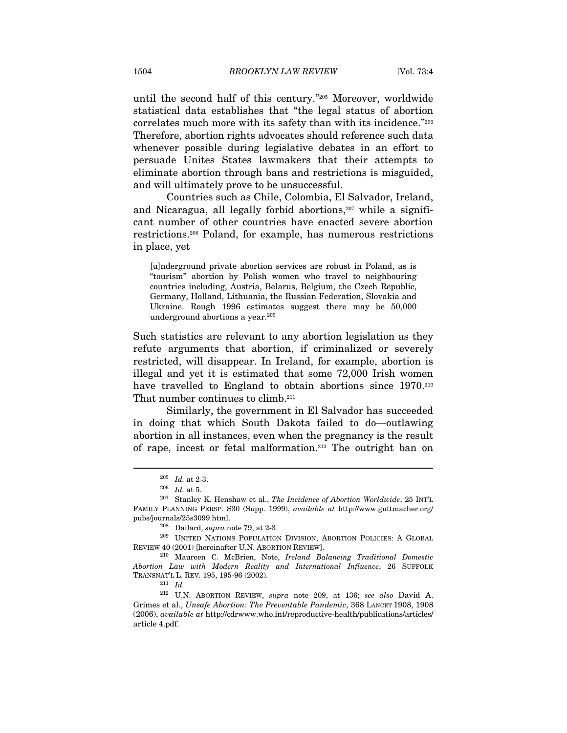until the second half of this century."205 Moreover, worldwide statistical data establishes that "the legal status of abortion correlates much more with its safety than with its incidence."206 Therefore, abortion rights advocates should reference such data whenever possible during legislative debates in an effort to persuade Unites States lawmakers that their attempts to eliminate abortion through bans and restrictions is misguided, and will ultimately prove to be unsuccessful.

Countries such as Chile, Colombia, El Salvador, Ireland, and Nicaragua, all legally forbid abortions,<sup>207</sup> while a significant number of other countries have enacted severe abortion restrictions.208 Poland, for example, has numerous restrictions in place, yet

[u]nderground private abortion services are robust in Poland, as is "tourism" abortion by Polish women who travel to neighbouring countries including, Austria, Belarus, Belgium, the Czech Republic, Germany, Holland, Lithuania, the Russian Federation, Slovakia and Ukraine. Rough 1996 estimates suggest there may be 50,000 underground abortions a year.<sup>209</sup>

Such statistics are relevant to any abortion legislation as they refute arguments that abortion, if criminalized or severely restricted, will disappear. In Ireland, for example, abortion is illegal and yet it is estimated that some 72,000 Irish women have travelled to England to obtain abortions since 1970.<sup>210</sup> That number continues to climb.<sup>211</sup>

Similarly, the government in El Salvador has succeeded in doing that which South Dakota failed to do—outlawing abortion in all instances, even when the pregnancy is the result of rape, incest or fetal malformation.212 The outright ban on

<sup>&</sup>lt;sup>205</sup> Id. at 2-3.<br><sup>206</sup> Id. at 5.<br><sup>207</sup> Stanley K. Henshaw et al., *The Incidence of Abortion Worldwide*, 25 INT'L FAMILY PLANNING PERSP. S30 (Supp. 1999), available at http://www.guttmacher.org/ pubs/journals/25s3099.html.<br><sup>208</sup> Dailard, *supra* note 79, at 2-3.<br><sup>209</sup> UNITED NATIONS POPULATION DIVISION, ABORTION POLICIES: A GLOBAL

REVIEW 40 (2001) [hereinafter U.N. ABORTION REVIEW]. 210 Maureen C. McBrien, Note, Ireland Balancing Traditional Domestic

Abortion Law with Modern Reality and International Influence, 26 SUFFOLK TRANSNAT'L L. REV. 195, 195-96 (2002).  $\frac{211}{Id}$ .

<sup>212</sup> U.N. ABORTION REVIEW, supra note 209, at 136; see also David A. Grimes et al., Unsafe Abortion: The Preventable Pandemic, 368 LANCET 1908, 1908 (2006), available at http://cdrwww.who.int/reproductive-health/publications/articles/ article 4.pdf.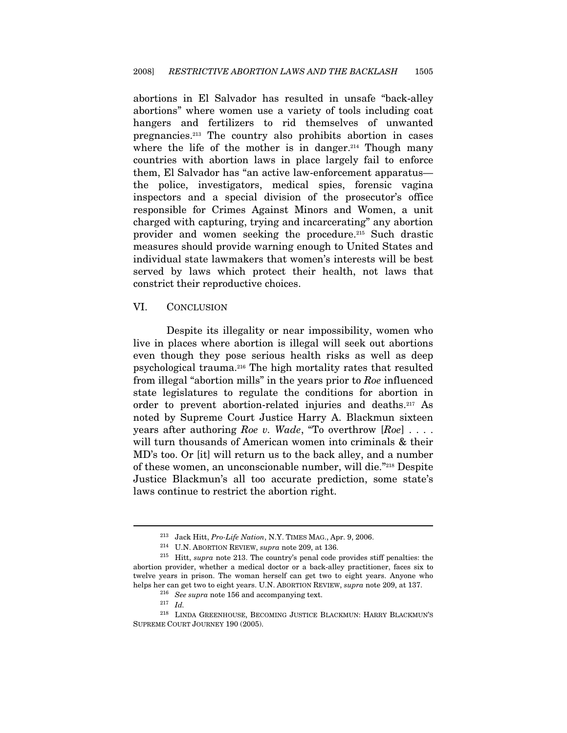abortions in El Salvador has resulted in unsafe "back-alley abortions" where women use a variety of tools including coat hangers and fertilizers to rid themselves of unwanted pregnancies.213 The country also prohibits abortion in cases where the life of the mother is in danger.<sup>214</sup> Though many countries with abortion laws in place largely fail to enforce them, El Salvador has "an active law-enforcement apparatus the police, investigators, medical spies, forensic vagina inspectors and a special division of the prosecutor's office responsible for Crimes Against Minors and Women, a unit charged with capturing, trying and incarcerating" any abortion provider and women seeking the procedure.215 Such drastic measures should provide warning enough to United States and individual state lawmakers that women's interests will be best served by laws which protect their health, not laws that constrict their reproductive choices.

#### VI. CONCLUSION

Despite its illegality or near impossibility, women who live in places where abortion is illegal will seek out abortions even though they pose serious health risks as well as deep psychological trauma.216 The high mortality rates that resulted from illegal "abortion mills" in the years prior to Roe influenced state legislatures to regulate the conditions for abortion in order to prevent abortion-related injuries and deaths.217 As noted by Supreme Court Justice Harry A. Blackmun sixteen years after authoring Roe v. Wade, "To overthrow  $[Roe]$ ... will turn thousands of American women into criminals  $\&$  their MD's too. Or [it] will return us to the back alley, and a number of these women, an unconscionable number, will die."218 Despite Justice Blackmun's all too accurate prediction, some state's laws continue to restrict the abortion right.

<sup>&</sup>lt;sup>213</sup> Jack Hitt, *Pro-Life Nation*, N.Y. TIMES MAG., Apr. 9, 2006.<br><sup>214</sup> U.N. ABORTION REVIEW, *supra* note 209, at 136.<br><sup>215</sup> Hitt, *supra* note 213. The country's penal code provides stiff penalties: the abortion provider, whether a medical doctor or a back-alley practitioner, faces six to twelve years in prison. The woman herself can get two to eight years. Anyone who helps her can get two to eight years. U.N. ABORTION REVIEW, supra note 209, at 137.

helps her can get two to eight years. U.N. ABORTION REVIEW, supra note 209, at 137. 216 See supra note 156 and accompanying text. 217 Id. 218 LINDA GREENHOUSE, BECOMING JUSTICE BLACKMUN: HARRY BLACKMUN'S SUPREME COURT JOURNEY 190 (2005).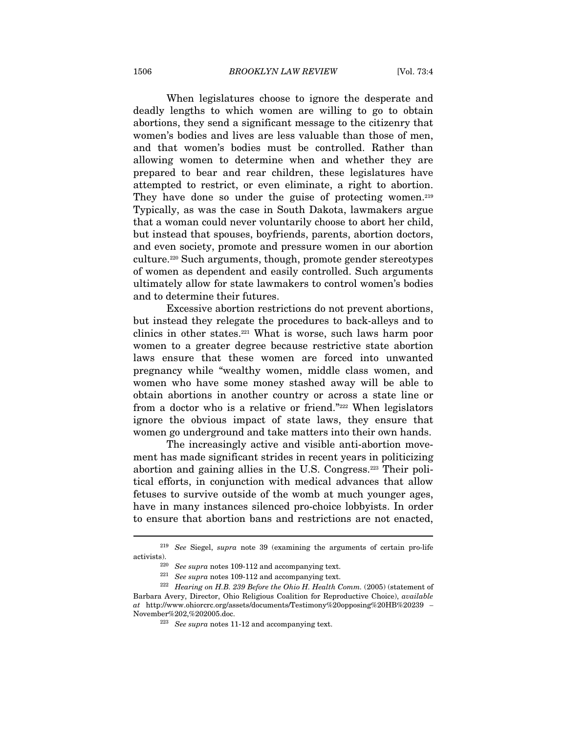When legislatures choose to ignore the desperate and deadly lengths to which women are willing to go to obtain abortions, they send a significant message to the citizenry that women's bodies and lives are less valuable than those of men, and that women's bodies must be controlled. Rather than allowing women to determine when and whether they are prepared to bear and rear children, these legislatures have attempted to restrict, or even eliminate, a right to abortion. They have done so under the guise of protecting women.<sup>219</sup> Typically, as was the case in South Dakota, lawmakers argue that a woman could never voluntarily choose to abort her child, but instead that spouses, boyfriends, parents, abortion doctors, and even society, promote and pressure women in our abortion culture.220 Such arguments, though, promote gender stereotypes of women as dependent and easily controlled. Such arguments ultimately allow for state lawmakers to control women's bodies and to determine their futures.

Excessive abortion restrictions do not prevent abortions, but instead they relegate the procedures to back-alleys and to clinics in other states.221 What is worse, such laws harm poor women to a greater degree because restrictive state abortion laws ensure that these women are forced into unwanted pregnancy while "wealthy women, middle class women, and women who have some money stashed away will be able to obtain abortions in another country or across a state line or from a doctor who is a relative or friend."222 When legislators ignore the obvious impact of state laws, they ensure that women go underground and take matters into their own hands.

The increasingly active and visible anti-abortion movement has made significant strides in recent years in politicizing abortion and gaining allies in the U.S. Congress.223 Their political efforts, in conjunction with medical advances that allow fetuses to survive outside of the womb at much younger ages, have in many instances silenced pro-choice lobbyists. In order to ensure that abortion bans and restrictions are not enacted,

<sup>&</sup>lt;sup>219</sup> See Siegel, *supra* note 39 (examining the arguments of certain pro-life activists).<br><sup>220</sup> See supra notes 109-112 and accompanying text.<br><sup>221</sup> See supra notes 109-112 and accompanying text.<br><sup>222</sup> Hearing on H.B. 239 Before the Ohio H. Health Comm. (2005) (statement of

Barbara Avery, Director, Ohio Religious Coalition for Reproductive Choice), available at http://www.ohiorcrc.org/assets/documents/Testimony%20opposing%20HB%20239 –  ${\rm November}\%202,\!%202005.{\rm doc}.$   $^{223}$   $\,See\,supra$  notes 11-12 and accompanying text.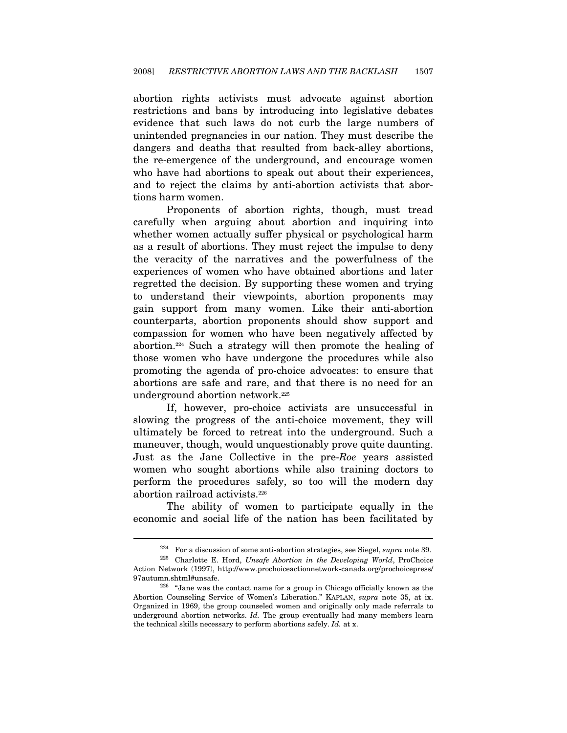abortion rights activists must advocate against abortion restrictions and bans by introducing into legislative debates evidence that such laws do not curb the large numbers of unintended pregnancies in our nation. They must describe the dangers and deaths that resulted from back-alley abortions, the re-emergence of the underground, and encourage women who have had abortions to speak out about their experiences, and to reject the claims by anti-abortion activists that abortions harm women.

Proponents of abortion rights, though, must tread carefully when arguing about abortion and inquiring into whether women actually suffer physical or psychological harm as a result of abortions. They must reject the impulse to deny the veracity of the narratives and the powerfulness of the experiences of women who have obtained abortions and later regretted the decision. By supporting these women and trying to understand their viewpoints, abortion proponents may gain support from many women. Like their anti-abortion counterparts, abortion proponents should show support and compassion for women who have been negatively affected by abortion.224 Such a strategy will then promote the healing of those women who have undergone the procedures while also promoting the agenda of pro-choice advocates: to ensure that abortions are safe and rare, and that there is no need for an underground abortion network.225

If, however, pro-choice activists are unsuccessful in slowing the progress of the anti-choice movement, they will ultimately be forced to retreat into the underground. Such a maneuver, though, would unquestionably prove quite daunting. Just as the Jane Collective in the pre-Roe years assisted women who sought abortions while also training doctors to perform the procedures safely, so too will the modern day abortion railroad activists.<sup>226</sup>

The ability of women to participate equally in the economic and social life of the nation has been facilitated by

<sup>&</sup>lt;sup>224</sup> For a discussion of some anti-abortion strategies, see Siegel, *supra* note 39.<br><sup>225</sup> Charlotte E. Hord, *Unsafe Abortion in the Developing World*, ProChoice

Action Network (1997), http://www.prochoiceactionnetwork-canada.org/prochoicepress/

<sup>97</sup>autumn.shtml#unsafe. 226 "Jane was the contact name for a group in Chicago officially known as the Abortion Counseling Service of Women's Liberation." KAPLAN, supra note 35, at ix. Organized in 1969, the group counseled women and originally only made referrals to underground abortion networks. Id. The group eventually had many members learn the technical skills necessary to perform abortions safely. Id. at x.